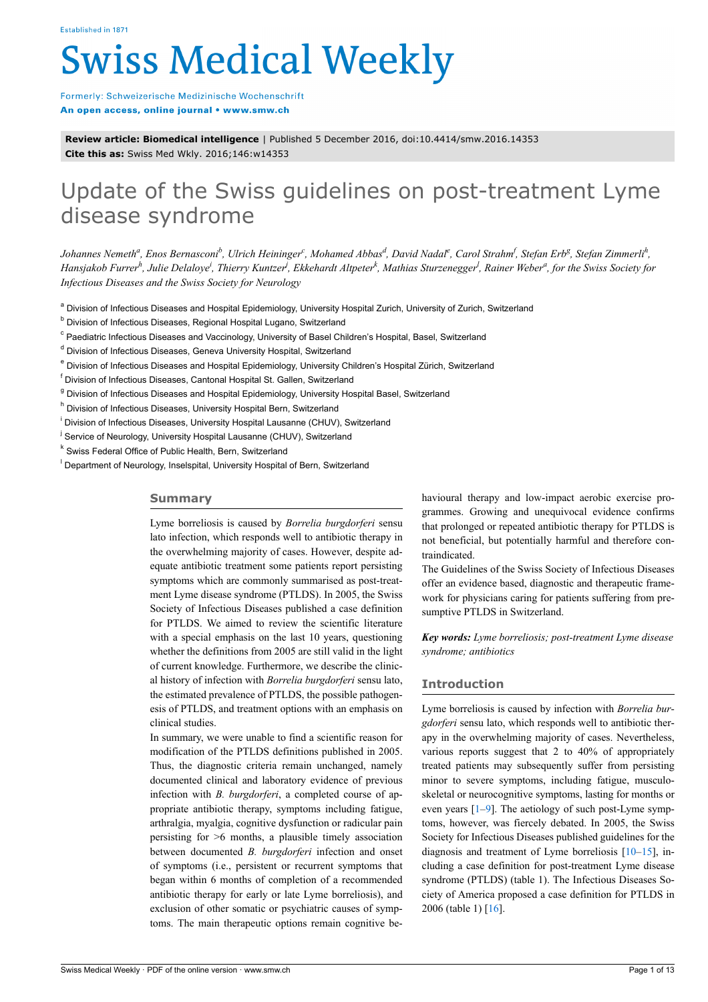# **Swiss Medical Weekly**

Formerly: Schweizerische Medizinische Wochenschrift An open access, online journal • www.smw.ch

**Review article: Biomedical intelligence** | Published 5 December 2016, doi:10.4414/smw.2016.14353 **Cite this as:** Swiss Med Wkly. 2016;146:w14353

# Update of the Swiss guidelines on post-treatment Lyme disease syndrome

Johannes Nemeth<sup>a</sup>, Enos Bernasconi<sup>b</sup>, Ulrich Heininger<sup>e</sup>, Mohamed Abbas<sup>d</sup>, David Nadal<sup>e</sup>, Carol Strahm<sup>f</sup>, Stefan Erb<sup>g</sup>, Stefan Zimmerli<sup>h</sup>, Hansjakob Furrer<sup>h</sup>, Julie Delaloye<sup>i</sup>, Thierry Kuntzer<sup>j</sup>, Ekkehardt Altpeter<sup>k</sup>, Mathias Sturzenegger<sup>]</sup>, Rainer Weber<sup>a</sup>, for the Swiss Society for *Infectious Diseases and the Swiss Society for Neurology*

<sup>a</sup> Division of Infectious Diseases and Hospital Epidemiology, University Hospital Zurich, University of Zurich, Switzerland

<sup>b</sup> Division of Infectious Diseases, Regional Hospital Lugano, Switzerland

<sup>c</sup> Paediatric Infectious Diseases and Vaccinology, University of Basel Children's Hospital, Basel, Switzerland

- <sup>d</sup> Division of Infectious Diseases, Geneva University Hospital, Switzerland
- <sup>e</sup> Division of Infectious Diseases and Hospital Epidemiology, University Children's Hospital Zürich, Switzerland

<sup>f</sup> Division of Infectious Diseases, Cantonal Hospital St. Gallen, Switzerland

<sup>g</sup> Division of Infectious Diseases and Hospital Epidemiology, University Hospital Basel, Switzerland

<sup>h</sup> Division of Infectious Diseases, University Hospital Bern, Switzerland

<sup>i</sup> Division of Infectious Diseases, University Hospital Lausanne (CHUV), Switzerland

<sup>j</sup> Service of Neurology, University Hospital Lausanne (CHUV), Switzerland

<sup>k</sup> Swiss Federal Office of Public Health, Bern, Switzerland

<sup>l</sup> Department of Neurology, Inselspital, University Hospital of Bern, Switzerland

# **Summary**

Lyme borreliosis is caused by *Borrelia burgdorferi* sensu lato infection, which responds well to antibiotic therapy in the overwhelming majority of cases. However, despite adequate antibiotic treatment some patients report persisting symptoms which are commonly summarised as post-treatment Lyme disease syndrome (PTLDS). In 2005, the Swiss Society of Infectious Diseases published a case definition for PTLDS. We aimed to review the scientific literature with a special emphasis on the last 10 years, questioning whether the definitions from 2005 are still valid in the light of current knowledge. Furthermore, we describe the clinical history of infection with *Borrelia burgdorferi* sensu lato, the estimated prevalence of PTLDS, the possible pathogenesis of PTLDS, and treatment options with an emphasis on clinical studies.

In summary, we were unable to find a scientific reason for modification of the PTLDS definitions published in 2005. Thus, the diagnostic criteria remain unchanged, namely documented clinical and laboratory evidence of previous infection with *B. burgdorferi*, a completed course of appropriate antibiotic therapy, symptoms including fatigue, arthralgia, myalgia, cognitive dysfunction or radicular pain persisting for >6 months, a plausible timely association between documented *B. burgdorferi* infection and onset of symptoms (i.e., persistent or recurrent symptoms that began within 6 months of completion of a recommended antibiotic therapy for early or late Lyme borreliosis), and exclusion of other somatic or psychiatric causes of symptoms. The main therapeutic options remain cognitive behavioural therapy and low-impact aerobic exercise programmes. Growing and unequivocal evidence confirms that prolonged or repeated antibiotic therapy for PTLDS is not beneficial, but potentially harmful and therefore contraindicated.

The Guidelines of the Swiss Society of Infectious Diseases offer an evidence based, diagnostic and therapeutic framework for physicians caring for patients suffering from presumptive PTLDS in Switzerland.

*Key words: Lyme borreliosis; post-treatment Lyme disease syndrome; antibiotics*

# **Introduction**

Lyme borreliosis is caused by infection with *Borrelia burgdorferi* sensu lato, which responds well to antibiotic therapy in the overwhelming majority of cases. Nevertheless, various reports suggest that 2 to 40% of appropriately treated patients may subsequently suffer from persisting minor to severe symptoms, including fatigue, musculoskeletal or neurocognitive symptoms, lasting for months or even years [\[1–](#page-10-0)[9\]](#page-10-1). The aetiology of such post-Lyme symptoms, however, was fiercely debated. In 2005, the Swiss Society for Infectious Diseases published guidelines for the diagnosis and treatment of Lyme borreliosis [[10–](#page-10-2)[15](#page-10-3)], including a case definition for post-treatment Lyme disease syndrome (PTLDS) (table 1). The Infectious Diseases Society of America proposed a case definition for PTLDS in 2006 (table 1) [\[16](#page-10-4)].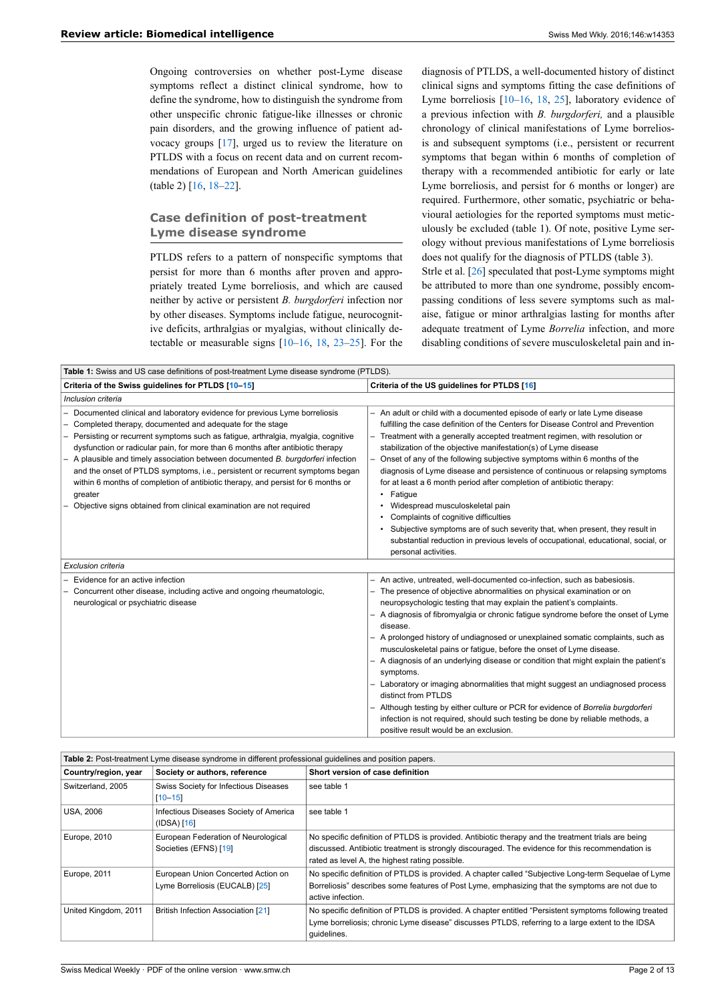Ongoing controversies on whether post-Lyme disease symptoms reflect a distinct clinical syndrome, how to define the syndrome, how to distinguish the syndrome from other unspecific chronic fatigue-like illnesses or chronic pain disorders, and the growing influence of patient advocacy groups [\[17](#page-10-5)], urged us to review the literature on PTLDS with a focus on recent data and on current recommendations of European and North American guidelines (table 2) [[16,](#page-10-4) [18](#page-10-6)–[22\]](#page-10-7).

# **Case definition of post-treatment Lyme disease syndrome**

PTLDS refers to a pattern of nonspecific symptoms that persist for more than 6 months after proven and appropriately treated Lyme borreliosis, and which are caused neither by active or persistent *B. burgdorferi* infection nor by other diseases. Symptoms include fatigue, neurocognitive deficits, arthralgias or myalgias, without clinically detectable or measurable signs [[10–](#page-10-2)[16](#page-10-4), [18,](#page-10-6) [23](#page-10-8)–[25\]](#page-10-9). For the

diagnosis of PTLDS, a well-documented history of distinct clinical signs and symptoms fitting the case definitions of Lyme borreliosis [[10](#page-10-2)[–16](#page-10-4), [18](#page-10-6), [25\]](#page-10-9), laboratory evidence of a previous infection with *B. burgdorferi,* and a plausible chronology of clinical manifestations of Lyme borreliosis and subsequent symptoms (i.e., persistent or recurrent symptoms that began within 6 months of completion of therapy with a recommended antibiotic for early or late Lyme borreliosis, and persist for 6 months or longer) are required. Furthermore, other somatic, psychiatric or behavioural aetiologies for the reported symptoms must meticulously be excluded (table 1). Of note, positive Lyme serology without previous manifestations of Lyme borreliosis does not qualify for the diagnosis of PTLDS (table 3). Strle et al. [\[26](#page-10-10)] speculated that post-Lyme symptoms might

be attributed to more than one syndrome, possibly encompassing conditions of less severe symptoms such as malaise, fatigue or minor arthralgias lasting for months after adequate treatment of Lyme *Borrelia* infection, and more disabling conditions of severe musculoskeletal pain and in-

| Table 1: Swiss and US case definitions of post-treatment Lyme disease syndrome (PTLDS).                                                                                                                                                                                                                                                                                                                                                                                                                                                                                                                                                              |                                                                                                                                                                                                                                                                                                                                                                                                                                                                                                                                                                                                                                                                                                                                                                                                                                                                                                                   |  |  |  |
|------------------------------------------------------------------------------------------------------------------------------------------------------------------------------------------------------------------------------------------------------------------------------------------------------------------------------------------------------------------------------------------------------------------------------------------------------------------------------------------------------------------------------------------------------------------------------------------------------------------------------------------------------|-------------------------------------------------------------------------------------------------------------------------------------------------------------------------------------------------------------------------------------------------------------------------------------------------------------------------------------------------------------------------------------------------------------------------------------------------------------------------------------------------------------------------------------------------------------------------------------------------------------------------------------------------------------------------------------------------------------------------------------------------------------------------------------------------------------------------------------------------------------------------------------------------------------------|--|--|--|
| Criteria of the Swiss guidelines for PTLDS [10-15]                                                                                                                                                                                                                                                                                                                                                                                                                                                                                                                                                                                                   | Criteria of the US guidelines for PTLDS [16]                                                                                                                                                                                                                                                                                                                                                                                                                                                                                                                                                                                                                                                                                                                                                                                                                                                                      |  |  |  |
| Inclusion criteria                                                                                                                                                                                                                                                                                                                                                                                                                                                                                                                                                                                                                                   |                                                                                                                                                                                                                                                                                                                                                                                                                                                                                                                                                                                                                                                                                                                                                                                                                                                                                                                   |  |  |  |
| Documented clinical and laboratory evidence for previous Lyme borreliosis<br>Completed therapy, documented and adequate for the stage<br>Persisting or recurrent symptoms such as fatigue, arthralgia, myalgia, cognitive<br>dysfunction or radicular pain, for more than 6 months after antibiotic therapy<br>A plausible and timely association between documented B. burgdorferi infection<br>and the onset of PTLDS symptoms, i.e., persistent or recurrent symptoms began<br>within 6 months of completion of antibiotic therapy, and persist for 6 months or<br>greater<br>Objective signs obtained from clinical examination are not required | - An adult or child with a documented episode of early or late Lyme disease<br>fulfilling the case definition of the Centers for Disease Control and Prevention<br>- Treatment with a generally accepted treatment regimen, with resolution or<br>stabilization of the objective manifestation(s) of Lyme disease<br>Onset of any of the following subjective symptoms within 6 months of the<br>diagnosis of Lyme disease and persistence of continuous or relapsing symptoms<br>for at least a 6 month period after completion of antibiotic therapy:<br>• Fatique<br>• Widespread musculoskeletal pain<br>• Complaints of cognitive difficulties<br>• Subjective symptoms are of such severity that, when present, they result in<br>substantial reduction in previous levels of occupational, educational, social, or<br>personal activities.                                                                 |  |  |  |
| Exclusion criteria                                                                                                                                                                                                                                                                                                                                                                                                                                                                                                                                                                                                                                   |                                                                                                                                                                                                                                                                                                                                                                                                                                                                                                                                                                                                                                                                                                                                                                                                                                                                                                                   |  |  |  |
| Evidence for an active infection<br>Concurrent other disease, including active and ongoing rheumatologic,<br>neurological or psychiatric disease                                                                                                                                                                                                                                                                                                                                                                                                                                                                                                     | - An active, untreated, well-documented co-infection, such as babesiosis.<br>The presence of objective abnormalities on physical examination or on<br>neuropsychologic testing that may explain the patient's complaints.<br>- A diagnosis of fibromyalgia or chronic fatigue syndrome before the onset of Lyme<br>disease.<br>- A prolonged history of undiagnosed or unexplained somatic complaints, such as<br>musculoskeletal pains or fatigue, before the onset of Lyme disease.<br>- A diagnosis of an underlying disease or condition that might explain the patient's<br>symptoms.<br>- Laboratory or imaging abnormalities that might suggest an undiagnosed process<br>distinct from PTLDS<br>Although testing by either culture or PCR for evidence of Borrelia burgdorferi<br>infection is not required, should such testing be done by reliable methods, a<br>positive result would be an exclusion. |  |  |  |

| Table 2: Post-treatment Lyme disease syndrome in different professional guidelines and position papers. |                                                                      |                                                                                                                                                                                                                                                          |  |  |
|---------------------------------------------------------------------------------------------------------|----------------------------------------------------------------------|----------------------------------------------------------------------------------------------------------------------------------------------------------------------------------------------------------------------------------------------------------|--|--|
| Country/region, year                                                                                    | Society or authors, reference                                        | Short version of case definition                                                                                                                                                                                                                         |  |  |
| Switzerland, 2005                                                                                       | Swiss Society for Infectious Diseases<br>$[10 - 15]$                 | see table 1                                                                                                                                                                                                                                              |  |  |
| <b>USA, 2006</b>                                                                                        | Infectious Diseases Society of America<br>$(IDSA)$ $[16]$            | see table 1                                                                                                                                                                                                                                              |  |  |
| Europe, 2010                                                                                            | European Federation of Neurological<br>Societies (EFNS) [19]         | No specific definition of PTLDS is provided. Antibiotic therapy and the treatment trials are being<br>discussed. Antibiotic treatment is strongly discouraged. The evidence for this recommendation is<br>rated as level A, the highest rating possible. |  |  |
| Europe, 2011                                                                                            | European Union Concerted Action on<br>Lyme Borreliosis (EUCALB) [25] | No specific definition of PTLDS is provided. A chapter called "Subjective Long-term Sequelae of Lyme<br>Borreliosis" describes some features of Post Lyme, emphasizing that the symptoms are not due to<br>active infection.                             |  |  |
| United Kingdom, 2011                                                                                    | <b>British Infection Association [21]</b>                            | No specific definition of PTLDS is provided. A chapter entitled "Persistent symptoms following treated<br>Lyme borreliosis; chronic Lyme disease" discusses PTLDS, referring to a large extent to the IDSA<br>quidelines.                                |  |  |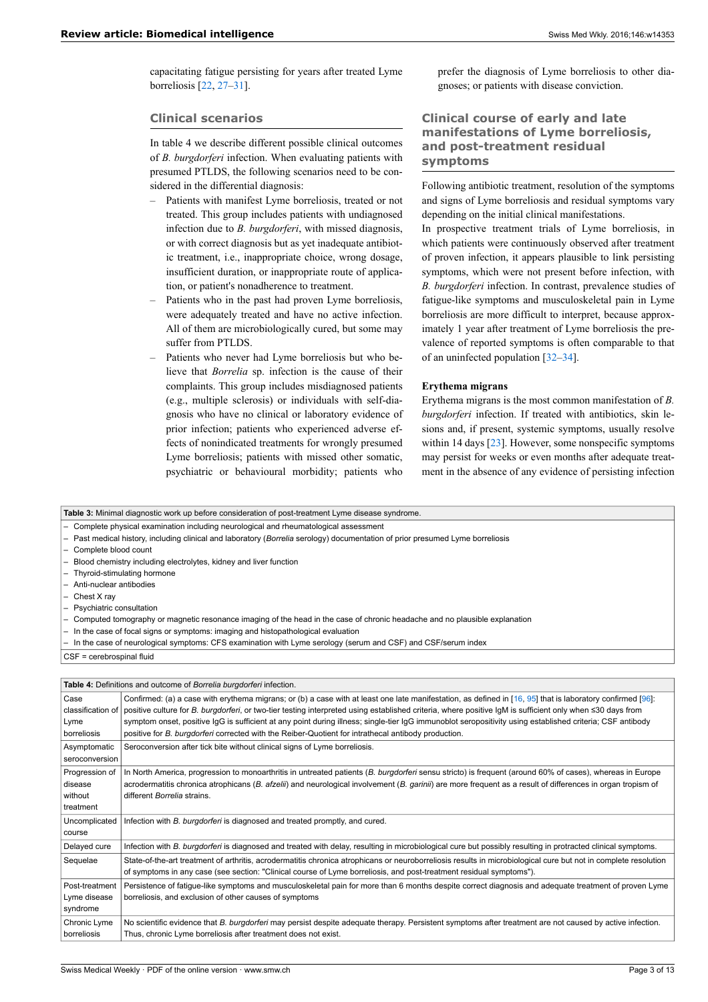capacitating fatigue persisting for years after treated Lyme borreliosis [\[22](#page-10-7), [27](#page-10-13)[–31](#page-11-0)].

#### **Clinical scenarios**

In table 4 we describe different possible clinical outcomes of *B. burgdorferi* infection. When evaluating patients with presumed PTLDS, the following scenarios need to be considered in the differential diagnosis:

- Patients with manifest Lyme borreliosis, treated or not treated. This group includes patients with undiagnosed infection due to *B. burgdorferi*, with missed diagnosis, or with correct diagnosis but as yet inadequate antibiotic treatment, i.e., inappropriate choice, wrong dosage, insufficient duration, or inappropriate route of application, or patient's nonadherence to treatment.
- Patients who in the past had proven Lyme borreliosis, were adequately treated and have no active infection. All of them are microbiologically cured, but some may suffer from PTLDS.
- ‒ Patients who never had Lyme borreliosis but who believe that *Borrelia* sp. infection is the cause of their complaints. This group includes misdiagnosed patients (e.g., multiple sclerosis) or individuals with self-diagnosis who have no clinical or laboratory evidence of prior infection; patients who experienced adverse effects of nonindicated treatments for wrongly presumed Lyme borreliosis; patients with missed other somatic, psychiatric or behavioural morbidity; patients who

prefer the diagnosis of Lyme borreliosis to other diagnoses; or patients with disease conviction.

# **Clinical course of early and late manifestations of Lyme borreliosis, and post-treatment residual symptoms**

Following antibiotic treatment, resolution of the symptoms and signs of Lyme borreliosis and residual symptoms vary depending on the initial clinical manifestations.

In prospective treatment trials of Lyme borreliosis, in which patients were continuously observed after treatment of proven infection, it appears plausible to link persisting symptoms, which were not present before infection, with *B. burgdorferi* infection. In contrast, prevalence studies of fatigue-like symptoms and musculoskeletal pain in Lyme borreliosis are more difficult to interpret, because approximately 1 year after treatment of Lyme borreliosis the prevalence of reported symptoms is often comparable to that of an uninfected population [[32](#page-11-1)–[34\]](#page-11-2).

#### **Erythema migrans**

Erythema migrans is the most common manifestation of *B. burgdorferi* infection. If treated with antibiotics, skin lesions and, if present, systemic symptoms, usually resolve within 14 days [\[23](#page-10-8)]. However, some nonspecific symptoms may persist for weeks or even months after adequate treatment in the absence of any evidence of persisting infection

|                                                                                                                              | Table 3: Minimal diagnostic work up before consideration of post-treatment Lyme disease syndrome.                                                               |  |  |  |
|------------------------------------------------------------------------------------------------------------------------------|-----------------------------------------------------------------------------------------------------------------------------------------------------------------|--|--|--|
|                                                                                                                              | Complete physical examination including neurological and rheumatological assessment                                                                             |  |  |  |
| Past medical history, including clinical and laboratory (Borrelia serology) documentation of prior presumed Lyme borreliosis |                                                                                                                                                                 |  |  |  |
| Complete blood count                                                                                                         |                                                                                                                                                                 |  |  |  |
|                                                                                                                              | Blood chemistry including electrolytes, kidney and liver function                                                                                               |  |  |  |
|                                                                                                                              | Thyroid-stimulating hormone                                                                                                                                     |  |  |  |
| Anti-nuclear antibodies                                                                                                      |                                                                                                                                                                 |  |  |  |
| Chest X ray                                                                                                                  |                                                                                                                                                                 |  |  |  |
| Psychiatric consultation                                                                                                     |                                                                                                                                                                 |  |  |  |
|                                                                                                                              | Computed tomography or magnetic resonance imaging of the head in the case of chronic headache and no plausible explanation                                      |  |  |  |
|                                                                                                                              | In the case of focal signs or symptoms: imaging and histopathological evaluation                                                                                |  |  |  |
|                                                                                                                              | In the case of neurological symptoms: CFS examination with Lyme serology (serum and CSF) and CSF/serum index                                                    |  |  |  |
| CSF = cerebrospinal fluid                                                                                                    |                                                                                                                                                                 |  |  |  |
|                                                                                                                              |                                                                                                                                                                 |  |  |  |
|                                                                                                                              | Table 4: Definitions and outcome of Borrelia burgdorferi infection.                                                                                             |  |  |  |
| Case                                                                                                                         | Confirmed: (a) a case with erythema migrans; or (b) a case with at least one late manifestation, as defined in [16, 95] that is laboratory confirmed [96]:      |  |  |  |
| classification of                                                                                                            | positive culture for B. burgdorferi, or two-tier testing interpreted using established criteria, where positive IgM is sufficient only when ≤30 days from       |  |  |  |
| Lyme                                                                                                                         | symptom onset, positive IgG is sufficient at any point during illness; single-tier IgG immunoblot seropositivity using established criteria; CSF antibody       |  |  |  |
| borreliosis                                                                                                                  | positive for B. burgdorferi corrected with the Reiber-Quotient for intrathecal antibody production.                                                             |  |  |  |
| Asymptomatic                                                                                                                 | Seroconversion after tick bite without clinical signs of Lyme borreliosis.                                                                                      |  |  |  |
| seroconversion                                                                                                               |                                                                                                                                                                 |  |  |  |
| Progression of                                                                                                               | In North America, progression to monoarthritis in untreated patients (B. burgdorferi sensu stricto) is frequent (around 60% of cases), whereas in Europe        |  |  |  |
| disease                                                                                                                      | acrodermatitis chronica atrophicans (B. afzelii) and neurological involvement (B. garinii) are more frequent as a result of differences in organ tropism of     |  |  |  |
| without                                                                                                                      | different Borrelia strains.                                                                                                                                     |  |  |  |
| treatment                                                                                                                    |                                                                                                                                                                 |  |  |  |
| Uncomplicated                                                                                                                | Infection with B. burgdorferi is diagnosed and treated promptly, and cured.                                                                                     |  |  |  |
| course                                                                                                                       |                                                                                                                                                                 |  |  |  |
| Delayed cure                                                                                                                 | Infection with B. burgdorferi is diagnosed and treated with delay, resulting in microbiological cure but possibly resulting in protracted clinical symptoms.    |  |  |  |
| Sequelae                                                                                                                     | State-of-the-art treatment of arthritis, acrodermatitis chronica atrophicans or neuroborreliosis results in microbiological cure but not in complete resolution |  |  |  |
|                                                                                                                              | of symptoms in any case (see section: "Clinical course of Lyme borreliosis, and post-treatment residual symptoms").                                             |  |  |  |
| Post-treatment                                                                                                               | Persistence of fatigue-like symptoms and musculoskeletal pain for more than 6 months despite correct diagnosis and adequate treatment of proven Lyme            |  |  |  |
| Lyme disease                                                                                                                 | borreliosis, and exclusion of other causes of symptoms                                                                                                          |  |  |  |
| syndrome                                                                                                                     |                                                                                                                                                                 |  |  |  |
| Chronic Lyme                                                                                                                 | No scientific evidence that B. burgdorferi may persist despite adequate therapy. Persistent symptoms after treatment are not caused by active infection.        |  |  |  |
| borreliosis                                                                                                                  | Thus, chronic Lyme borreliosis after treatment does not exist.                                                                                                  |  |  |  |
|                                                                                                                              |                                                                                                                                                                 |  |  |  |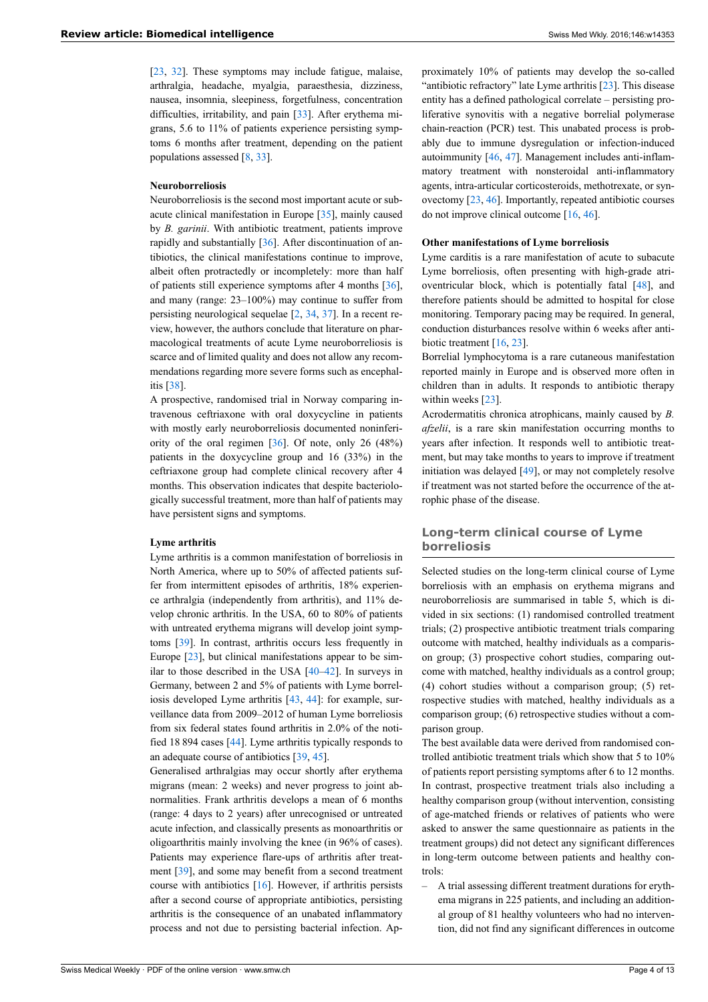[\[23](#page-10-8), [32](#page-11-1)]. These symptoms may include fatigue, malaise, arthralgia, headache, myalgia, paraesthesia, dizziness, nausea, insomnia, sleepiness, forgetfulness, concentration difficulties, irritability, and pain [[33\]](#page-11-3). After erythema migrans, 5.6 to 11% of patients experience persisting symptoms 6 months after treatment, depending on the patient populations assessed [[8,](#page-10-14) [33](#page-11-3)].

#### **Neuroborreliosis**

Neuroborreliosis is the second most important acute or subacute clinical manifestation in Europe [\[35](#page-11-4)], mainly caused by *B. garinii*. With antibiotic treatment, patients improve rapidly and substantially [[36\]](#page-11-5). After discontinuation of antibiotics, the clinical manifestations continue to improve, albeit often protractedly or incompletely: more than half of patients still experience symptoms after 4 months [\[36](#page-11-5)], and many (range: 23–100%) may continue to suffer from persisting neurological sequelae [[2](#page-10-15), [34,](#page-11-2) [37\]](#page-11-6). In a recent review, however, the authors conclude that literature on pharmacological treatments of acute Lyme neuroborreliosis is scarce and of limited quality and does not allow any recommendations regarding more severe forms such as encephalitis [\[38](#page-11-7)].

A prospective, randomised trial in Norway comparing intravenous ceftriaxone with oral doxycycline in patients with mostly early neuroborreliosis documented noninferiority of the oral regimen  $[36]$  $[36]$ . Of note, only 26 (48%) patients in the doxycycline group and 16 (33%) in the ceftriaxone group had complete clinical recovery after 4 months. This observation indicates that despite bacteriologically successful treatment, more than half of patients may have persistent signs and symptoms.

#### **Lyme arthritis**

Lyme arthritis is a common manifestation of borreliosis in North America, where up to 50% of affected patients suffer from intermittent episodes of arthritis, 18% experience arthralgia (independently from arthritis), and 11% develop chronic arthritis. In the USA, 60 to 80% of patients with untreated erythema migrans will develop joint symptoms [\[39](#page-11-8)]. In contrast, arthritis occurs less frequently in Europe [[23\]](#page-10-8), but clinical manifestations appear to be similar to those described in the USA [\[40](#page-11-9)–[42\]](#page-11-10). In surveys in Germany, between 2 and 5% of patients with Lyme borreliosis developed Lyme arthritis [\[43](#page-11-11), [44\]](#page-11-12): for example, surveillance data from 2009–2012 of human Lyme borreliosis from six federal states found arthritis in 2.0% of the notified 18 894 cases [\[44](#page-11-12)]. Lyme arthritis typically responds to an adequate course of antibiotics [\[39](#page-11-8), [45\]](#page-11-13).

Generalised arthralgias may occur shortly after erythema migrans (mean: 2 weeks) and never progress to joint abnormalities. Frank arthritis develops a mean of 6 months (range: 4 days to 2 years) after unrecognised or untreated acute infection, and classically presents as monoarthritis or oligoarthritis mainly involving the knee (in 96% of cases). Patients may experience flare-ups of arthritis after treatment [[39\]](#page-11-8), and some may benefit from a second treatment course with antibiotics [[16\]](#page-10-4). However, if arthritis persists after a second course of appropriate antibiotics, persisting arthritis is the consequence of an unabated inflammatory process and not due to persisting bacterial infection. Ap-

proximately 10% of patients may develop the so-called "antibiotic refractory" late Lyme arthritis [[23\]](#page-10-8). This disease entity has a defined pathological correlate – persisting proliferative synovitis with a negative borrelial polymerase chain-reaction (PCR) test. This unabated process is probably due to immune dysregulation or infection-induced autoimmunity [[46,](#page-11-14) [47\]](#page-11-15). Management includes anti-inflammatory treatment with nonsteroidal anti-inflammatory agents, intra-articular corticosteroids, methotrexate, or synovectomy [\[23](#page-10-8), [46\]](#page-11-14). Importantly, repeated antibiotic courses do not improve clinical outcome [[16,](#page-10-4) [46](#page-11-14)].

#### **Other manifestations of Lyme borreliosis**

Lyme carditis is a rare manifestation of acute to subacute Lyme borreliosis, often presenting with high-grade atrioventricular block, which is potentially fatal [[48\]](#page-11-16), and therefore patients should be admitted to hospital for close monitoring. Temporary pacing may be required. In general, conduction disturbances resolve within 6 weeks after anti-biotic treatment [[16,](#page-10-4) [23](#page-10-8)].

Borrelial lymphocytoma is a rare cutaneous manifestation reported mainly in Europe and is observed more often in children than in adults. It responds to antibiotic therapy within weeks [[23\]](#page-10-8).

Acrodermatitis chronica atrophicans, mainly caused by *B. afzelii*, is a rare skin manifestation occurring months to years after infection. It responds well to antibiotic treatment, but may take months to years to improve if treatment initiation was delayed [[49\]](#page-11-17), or may not completely resolve if treatment was not started before the occurrence of the atrophic phase of the disease.

## **Long-term clinical course of Lyme borreliosis**

Selected studies on the long-term clinical course of Lyme borreliosis with an emphasis on erythema migrans and neuroborreliosis are summarised in table 5, which is divided in six sections: (1) randomised controlled treatment trials; (2) prospective antibiotic treatment trials comparing outcome with matched, healthy individuals as a comparison group; (3) prospective cohort studies, comparing outcome with matched, healthy individuals as a control group; (4) cohort studies without a comparison group; (5) retrospective studies with matched, healthy individuals as a comparison group; (6) retrospective studies without a comparison group.

The best available data were derived from randomised controlled antibiotic treatment trials which show that 5 to 10% of patients report persisting symptoms after 6 to 12 months. In contrast, prospective treatment trials also including a healthy comparison group (without intervention, consisting of age-matched friends or relatives of patients who were asked to answer the same questionnaire as patients in the treatment groups) did not detect any significant differences in long-term outcome between patients and healthy controls:

‒ A trial assessing different treatment durations for erythema migrans in 225 patients, and including an additional group of 81 healthy volunteers who had no intervention, did not find any significant differences in outcome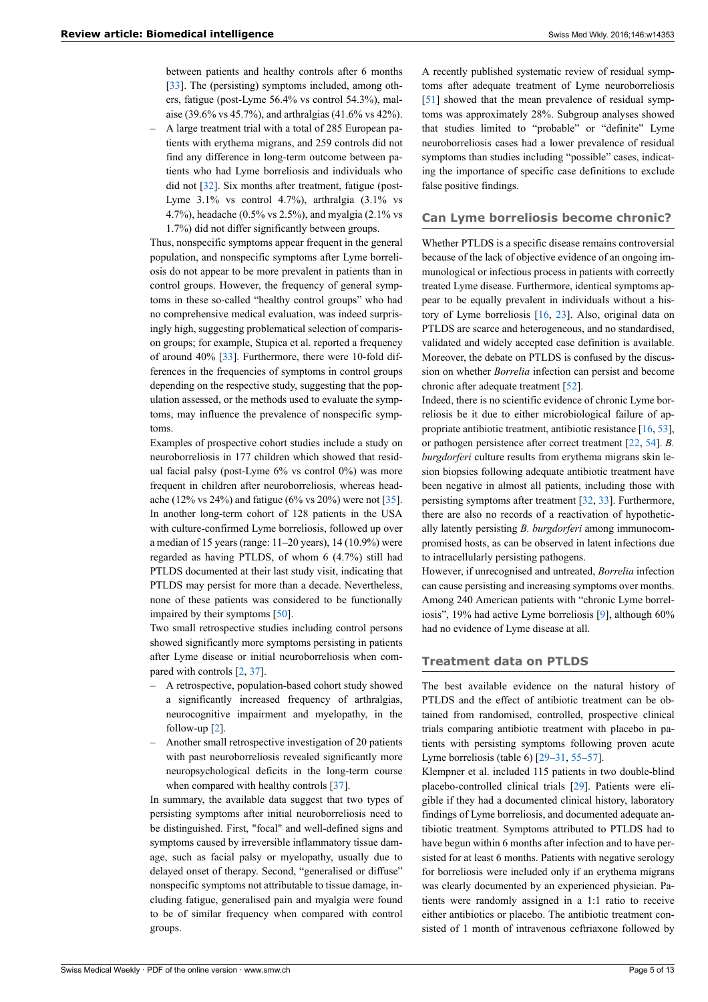between patients and healthy controls after 6 months [[33\]](#page-11-3). The (persisting) symptoms included, among others, fatigue (post-Lyme 56.4% vs control 54.3%), malaise (39.6% vs 45.7%), and arthralgias (41.6% vs 42%).

‒ A large treatment trial with a total of 285 European patients with erythema migrans, and 259 controls did not find any difference in long-term outcome between patients who had Lyme borreliosis and individuals who did not [[32\]](#page-11-1). Six months after treatment, fatigue (post-Lyme  $3.1\%$  vs control  $4.7\%$ ), arthralgia  $(3.1\%$  vs 4.7%), headache (0.5% vs 2.5%), and myalgia (2.1% vs 1.7%) did not differ significantly between groups.

Thus, nonspecific symptoms appear frequent in the general population, and nonspecific symptoms after Lyme borreliosis do not appear to be more prevalent in patients than in control groups. However, the frequency of general symptoms in these so-called "healthy control groups" who had no comprehensive medical evaluation, was indeed surprisingly high, suggesting problematical selection of comparison groups; for example, Stupica et al. reported a frequency of around 40% [[33\]](#page-11-3). Furthermore, there were 10-fold differences in the frequencies of symptoms in control groups depending on the respective study, suggesting that the population assessed, or the methods used to evaluate the symptoms, may influence the prevalence of nonspecific symptoms.

Examples of prospective cohort studies include a study on neuroborreliosis in 177 children which showed that residual facial palsy (post-Lyme  $6\%$  vs control  $0\%$ ) was more frequent in children after neuroborreliosis, whereas headache (12% vs 24%) and fatigue (6% vs 20%) were not [\[35](#page-11-4)]. In another long-term cohort of 128 patients in the USA with culture-confirmed Lyme borreliosis, followed up over a median of 15 years (range: 11–20 years), 14 (10.9%) were regarded as having PTLDS, of whom 6 (4.7%) still had PTLDS documented at their last study visit, indicating that PTLDS may persist for more than a decade. Nevertheless, none of these patients was considered to be functionally impaired by their symptoms [[50\]](#page-11-18).

Two small retrospective studies including control persons showed significantly more symptoms persisting in patients after Lyme disease or initial neuroborreliosis when compared with controls [[2](#page-10-15), [37\]](#page-11-6).

- ‒ A retrospective, population-based cohort study showed a significantly increased frequency of arthralgias, neurocognitive impairment and myelopathy, in the follow-up [\[2\]](#page-10-15).
- ‒ Another small retrospective investigation of 20 patients with past neuroborreliosis revealed significantly more neuropsychological deficits in the long-term course when compared with healthy controls [\[37](#page-11-6)].

In summary, the available data suggest that two types of persisting symptoms after initial neuroborreliosis need to be distinguished. First, "focal" and well-defined signs and symptoms caused by irreversible inflammatory tissue damage, such as facial palsy or myelopathy, usually due to delayed onset of therapy. Second, "generalised or diffuse" nonspecific symptoms not attributable to tissue damage, including fatigue, generalised pain and myalgia were found to be of similar frequency when compared with control groups.

A recently published systematic review of residual symptoms after adequate treatment of Lyme neuroborreliosis [[51\]](#page-11-19) showed that the mean prevalence of residual symptoms was approximately 28%. Subgroup analyses showed that studies limited to "probable" or "definite" Lyme neuroborreliosis cases had a lower prevalence of residual symptoms than studies including "possible" cases, indicating the importance of specific case definitions to exclude false positive findings.

#### **Can Lyme borreliosis become chronic?**

Whether PTLDS is a specific disease remains controversial because of the lack of objective evidence of an ongoing immunological or infectious process in patients with correctly treated Lyme disease. Furthermore, identical symptoms appear to be equally prevalent in individuals without a history of Lyme borreliosis [\[16](#page-10-4), [23](#page-10-8)]. Also, original data on PTLDS are scarce and heterogeneous, and no standardised, validated and widely accepted case definition is available. Moreover, the debate on PTLDS is confused by the discussion on whether *Borrelia* infection can persist and become chronic after adequate treatment [[52](#page-11-20)].

Indeed, there is no scientific evidence of chronic Lyme borreliosis be it due to either microbiological failure of appropriate antibiotic treatment, antibiotic resistance [\[16](#page-10-4), [53\]](#page-11-21), or pathogen persistence after correct treatment [[22,](#page-10-7) [54](#page-11-22)]. *B. burgdorferi* culture results from erythema migrans skin lesion biopsies following adequate antibiotic treatment have been negative in almost all patients, including those with persisting symptoms after treatment [\[32](#page-11-1), [33](#page-11-3)]. Furthermore, there are also no records of a reactivation of hypothetically latently persisting *B. burgdorferi* among immunocompromised hosts, as can be observed in latent infections due to intracellularly persisting pathogens.

However, if unrecognised and untreated, *Borrelia* infection can cause persisting and increasing symptoms over months. Among 240 American patients with "chronic Lyme borreliosis", 19% had active Lyme borreliosis [\[9\]](#page-10-1), although 60% had no evidence of Lyme disease at all.

# **Treatment data on PTLDS**

The best available evidence on the natural history of PTLDS and the effect of antibiotic treatment can be obtained from randomised, controlled, prospective clinical trials comparing antibiotic treatment with placebo in patients with persisting symptoms following proven acute Lyme borreliosis (table 6) [[29](#page-11-19)–[31,](#page-11-0) [55](#page-11-23)–[57\]](#page-11-24).

Klempner et al. included 115 patients in two double-blind placebo-controlled clinical trials [\[29](#page-11-19)]. Patients were eligible if they had a documented clinical history, laboratory findings of Lyme borreliosis, and documented adequate antibiotic treatment. Symptoms attributed to PTLDS had to have begun within 6 months after infection and to have persisted for at least 6 months. Patients with negative serology for borreliosis were included only if an erythema migrans was clearly documented by an experienced physician. Patients were randomly assigned in a 1:1 ratio to receive either antibiotics or placebo. The antibiotic treatment consisted of 1 month of intravenous ceftriaxone followed by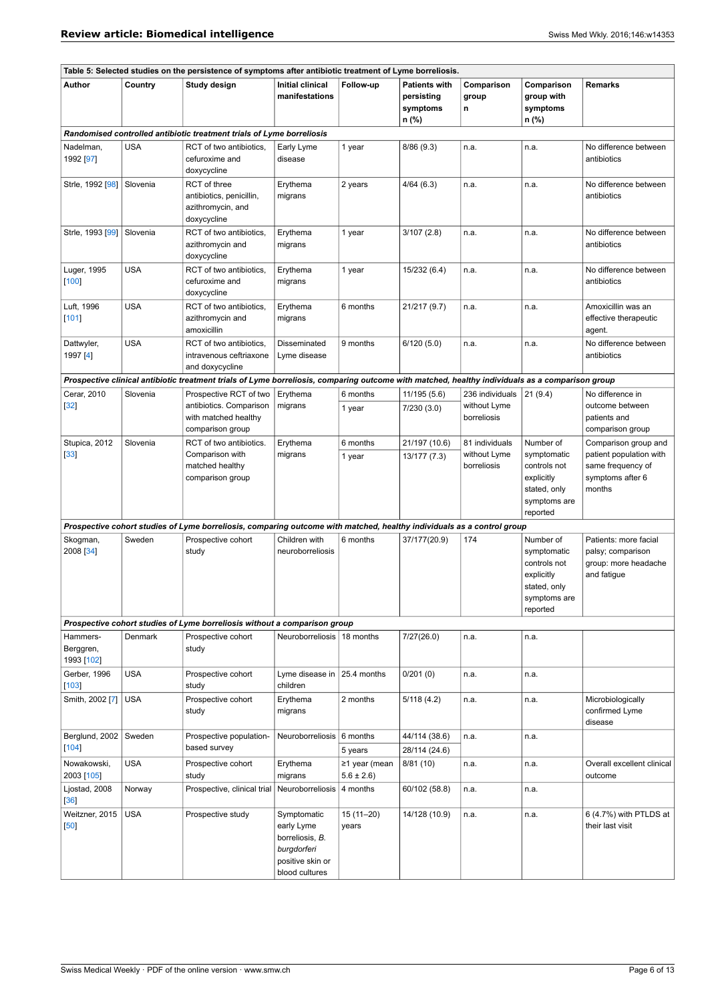| Table 5: Selected studies on the persistence of symptoms after antibiotic treatment of Lyme borreliosis. |            |                                                                                                                                                 |                                                                                                   |                                |                                                         |                                                |                                                                                                    |                                                                                                    |
|----------------------------------------------------------------------------------------------------------|------------|-------------------------------------------------------------------------------------------------------------------------------------------------|---------------------------------------------------------------------------------------------------|--------------------------------|---------------------------------------------------------|------------------------------------------------|----------------------------------------------------------------------------------------------------|----------------------------------------------------------------------------------------------------|
| Author                                                                                                   | Country    | Study design                                                                                                                                    | <b>Initial clinical</b><br>manifestations                                                         | Follow-up                      | <b>Patients with</b><br>persisting<br>symptoms<br>n (%) | Comparison<br>group<br>n                       | Comparison<br>group with<br>symptoms<br>n (%)                                                      | <b>Remarks</b>                                                                                     |
|                                                                                                          |            | Randomised controlled antibiotic treatment trials of Lyme borreliosis                                                                           |                                                                                                   |                                |                                                         |                                                |                                                                                                    |                                                                                                    |
| Nadelman,<br>1992 [97]                                                                                   | <b>USA</b> | RCT of two antibiotics,<br>cefuroxime and<br>doxycycline                                                                                        | Early Lyme<br>disease                                                                             | 1 year                         | 8/86 (9.3)                                              | n.a.                                           | n.a.                                                                                               | No difference between<br>antibiotics                                                               |
| Strle, 1992 [98]                                                                                         | Slovenia   | RCT of three<br>antibiotics, penicillin,<br>azithromycin, and<br>doxycycline                                                                    | Erythema<br>migrans                                                                               | 2 years                        | 4/64(6.3)                                               | n.a.                                           | n.a.                                                                                               | No difference between<br>antibiotics                                                               |
| Strle, 1993 [99]                                                                                         | Slovenia   | RCT of two antibiotics,<br>azithromycin and<br>doxycycline                                                                                      | Erythema<br>migrans                                                                               | 1 year                         | 3/107(2.8)                                              | n.a.                                           | n.a.                                                                                               | No difference between<br>antibiotics                                                               |
| Luger, 1995<br>[100]                                                                                     | <b>USA</b> | RCT of two antibiotics,<br>cefuroxime and<br>doxycycline                                                                                        | Erythema<br>migrans                                                                               | 1 year                         | 15/232 (6.4)                                            | n.a.                                           | n.a.                                                                                               | No difference between<br>antibiotics                                                               |
| Luft, 1996<br>[101]                                                                                      | <b>USA</b> | RCT of two antibiotics,<br>azithromycin and<br>amoxicillin                                                                                      | Erythema<br>migrans                                                                               | 6 months                       | 21/217 (9.7)                                            | n.a.                                           | n.a.                                                                                               | Amoxicillin was an<br>effective therapeutic<br>agent.                                              |
| Dattwyler,<br>1997 [4]                                                                                   | <b>USA</b> | RCT of two antibiotics.<br>intravenous ceftriaxone<br>and doxycycline                                                                           | Disseminated<br>Lyme disease                                                                      | 9 months                       | 6/120(5.0)                                              | n.a.                                           | n.a.                                                                                               | No difference between<br>antibiotics                                                               |
|                                                                                                          |            | Prospective clinical antibiotic treatment trials of Lyme borreliosis, comparing outcome with matched, healthy individuals as a comparison group |                                                                                                   |                                |                                                         |                                                |                                                                                                    |                                                                                                    |
| Cerar, 2010<br>$[32]$                                                                                    | Slovenia   | Prospective RCT of two<br>antibiotics. Comparison<br>with matched healthy<br>comparison group                                                   | Erythema<br>migrans                                                                               | 6 months<br>1 year             | 11/195 (5.6)<br>7/230(3.0)                              | 236 individuals<br>without Lyme<br>borreliosis | 21(9.4)                                                                                            | No difference in<br>outcome between<br>patients and<br>comparison group                            |
| Stupica, 2012<br>$[33]$                                                                                  | Slovenia   | RCT of two antibiotics.<br>Comparison with<br>matched healthy<br>comparison group                                                               | Erythema<br>migrans                                                                               | 6 months<br>1 year             | 21/197 (10.6)<br>13/177 (7.3)                           | 81 individuals<br>without Lyme<br>borreliosis  | Number of<br>symptomatic<br>controls not<br>explicitly<br>stated, only<br>symptoms are<br>reported | Comparison group and<br>patient population with<br>same frequency of<br>symptoms after 6<br>months |
|                                                                                                          |            | Prospective cohort studies of Lyme borreliosis, comparing outcome with matched, healthy individuals as a control group                          |                                                                                                   |                                |                                                         |                                                |                                                                                                    |                                                                                                    |
| Skogman,<br>2008 [34]                                                                                    | Sweden     | Prospective cohort<br>study                                                                                                                     | Children with<br>neuroborreliosis                                                                 | 6 months                       | 37/177(20.9)                                            | 174                                            | Number of<br>symptomatic<br>controls not<br>explicitly<br>stated, only<br>symptoms are<br>reported | Patients: more facial<br>palsy; comparison<br>group: more headache<br>and fatigue                  |
|                                                                                                          |            | Prospective cohort studies of Lyme borreliosis without a comparison group                                                                       |                                                                                                   |                                |                                                         |                                                |                                                                                                    |                                                                                                    |
| Hammers-<br>Berggren,<br>1993 [102]                                                                      | Denmark    | Prospective cohort<br>study                                                                                                                     | Neuroborreliosis   18 months                                                                      |                                | 7/27(26.0)                                              | n.a.                                           | n.a.                                                                                               |                                                                                                    |
| Gerber, 1996<br>$[103]$                                                                                  | <b>USA</b> | Prospective cohort<br>study                                                                                                                     | Lyme disease in<br>children                                                                       | 25.4 months                    | 0/201(0)                                                | n.a.                                           | n.a.                                                                                               |                                                                                                    |
| Smith, 2002 [7]                                                                                          | <b>USA</b> | Prospective cohort<br>study                                                                                                                     | Erythema<br>migrans                                                                               | 2 months                       | 5/118(4.2)                                              | n.a.                                           | n.a.                                                                                               | Microbiologically<br>confirmed Lyme<br>disease                                                     |
| Berglund, 2002<br>$[104]$                                                                                | Sweden     | Prospective population-<br>based survey                                                                                                         | <b>Neuroborreliosis</b>                                                                           | 6 months<br>5 years            | 44/114 (38.6)<br>28/114 (24.6)                          | n.a.                                           | n.a.                                                                                               |                                                                                                    |
| Nowakowski,<br>2003 [105]                                                                                | <b>USA</b> | Prospective cohort<br>study                                                                                                                     | Erythema<br>migrans                                                                               | ≥1 year (mean<br>$5.6 \pm 2.6$ | 8/81 (10)                                               | n.a.                                           | n.a.                                                                                               | Overall excellent clinical<br>outcome                                                              |
| Ljostad, 2008<br>[36]                                                                                    | Norway     | Prospective, clinical trial                                                                                                                     | Neuroborreliosis                                                                                  | 4 months                       | 60/102 (58.8)                                           | n.a.                                           | n.a.                                                                                               |                                                                                                    |
| Weitzner, 2015<br>$[50]$                                                                                 | <b>USA</b> | Prospective study                                                                                                                               | Symptomatic<br>early Lyme<br>borreliosis, B.<br>burgdorferi<br>positive skin or<br>blood cultures | 15 (11-20)<br>years            | 14/128 (10.9)                                           | n.a.                                           | n.a.                                                                                               | 6 (4.7%) with PTLDS at<br>their last visit                                                         |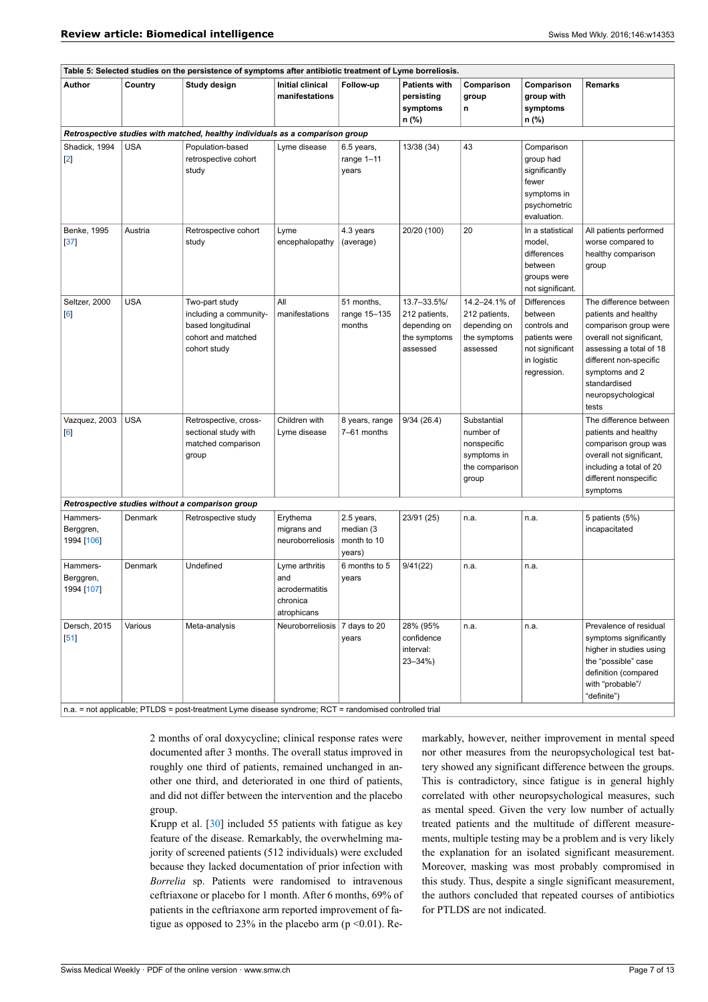| Table 5: Selected studies on the persistence of symptoms after antibiotic treatment of Lyme borreliosis. |            |                                                                                                                         |                                                                    |                                                  |                                                                          |                                                                                   |                                                                                                                 |                                                                                                                                                                                                                           |
|----------------------------------------------------------------------------------------------------------|------------|-------------------------------------------------------------------------------------------------------------------------|--------------------------------------------------------------------|--------------------------------------------------|--------------------------------------------------------------------------|-----------------------------------------------------------------------------------|-----------------------------------------------------------------------------------------------------------------|---------------------------------------------------------------------------------------------------------------------------------------------------------------------------------------------------------------------------|
| Author                                                                                                   | Country    | Study design                                                                                                            | <b>Initial clinical</b><br>manifestations                          | Follow-up                                        | <b>Patients with</b><br>persisting<br>symptoms<br>n (%)                  | Comparison<br>group<br>n                                                          | Comparison<br>group with<br>symptoms<br>n (%)                                                                   | <b>Remarks</b>                                                                                                                                                                                                            |
|                                                                                                          |            | Retrospective studies with matched, healthy individuals as a comparison group                                           |                                                                    |                                                  |                                                                          |                                                                                   |                                                                                                                 |                                                                                                                                                                                                                           |
| Shadick, 1994<br>$[2]$                                                                                   | <b>USA</b> | Population-based<br>retrospective cohort<br>study                                                                       | Lyme disease                                                       | 6.5 years,<br>range 1-11<br>years                | 13/38 (34)                                                               | 43                                                                                | Comparison<br>group had<br>significantly<br>fewer<br>symptoms in<br>psychometric<br>evaluation.                 |                                                                                                                                                                                                                           |
| Benke, 1995<br>$[37]$                                                                                    | Austria    | Retrospective cohort<br>study                                                                                           | Lyme<br>encephalopathy                                             | 4.3 years<br>(average)                           | 20/20 (100)                                                              | 20                                                                                | In a statistical<br>model,<br>differences<br>between<br>groups were<br>not significant.                         | All patients performed<br>worse compared to<br>healthy comparison<br>group                                                                                                                                                |
| Seltzer, 2000<br>$\lceil 6 \rceil$                                                                       | <b>USA</b> | Two-part study<br>including a community-<br>based longitudinal<br>cohort and matched<br>cohort study                    | All<br>manifestations                                              | 51 months,<br>range 15-135<br>months             | 13.7-33.5%/<br>212 patients,<br>depending on<br>the symptoms<br>assessed | 14.2-24.1% of<br>212 patients,<br>depending on<br>the symptoms<br>assessed        | <b>Differences</b><br>between<br>controls and<br>patients were<br>not significant<br>in logistic<br>regression. | The difference between<br>patients and healthy<br>comparison group were<br>overall not significant,<br>assessing a total of 18<br>different non-specific<br>symptoms and 2<br>standardised<br>neuropsychological<br>tests |
| Vazquez, 2003<br>[6]                                                                                     | <b>USA</b> | Retrospective, cross-<br>sectional study with<br>matched comparison<br>group                                            | Children with<br>Lyme disease                                      | 8 years, range<br>7-61 months                    | 9/34(26.4)                                                               | Substantial<br>number of<br>nonspecific<br>symptoms in<br>the comparison<br>group |                                                                                                                 | The difference between<br>patients and healthy<br>comparison group was<br>overall not significant,<br>including a total of 20<br>different nonspecific<br>symptoms                                                        |
|                                                                                                          |            | Retrospective studies without a comparison group                                                                        |                                                                    |                                                  |                                                                          |                                                                                   |                                                                                                                 |                                                                                                                                                                                                                           |
| Hammers-<br>Berggren,<br>1994 [106]                                                                      | Denmark    | Retrospective study                                                                                                     | Erythema<br>migrans and<br>neuroborreliosis                        | 2.5 years,<br>median (3<br>month to 10<br>years) | 23/91 (25)                                                               | n.a.                                                                              | n.a.                                                                                                            | 5 patients (5%)<br>incapacitated                                                                                                                                                                                          |
| Hammers-<br>Berggren,<br>1994 [107]                                                                      | Denmark    | Undefined                                                                                                               | Lyme arthritis<br>and<br>acrodermatitis<br>chronica<br>atrophicans | 6 months to 5<br>years                           | 9/41(22)                                                                 | n.a.                                                                              | n.a.                                                                                                            |                                                                                                                                                                                                                           |
| Dersch, 2015<br>$[51]$                                                                                   | Various    | Meta-analysis<br>n.a. = not applicable; PTLDS = post-treatment Lyme disease syndrome; RCT = randomised controlled trial | Neuroborreliosis   7 days to 20                                    | years                                            | 28% (95%<br>confidence<br>interval:<br>$23 - 34\%$                       | n.a.                                                                              | n.a.                                                                                                            | Prevalence of residual<br>symptoms significantly<br>higher in studies using<br>the "possible" case<br>definition (compared<br>with "probable"/<br>"definite")                                                             |

2 months of oral doxycycline; clinical response rates were documented after 3 months. The overall status improved in roughly one third of patients, remained unchanged in another one third, and deteriorated in one third of patients, and did not differ between the intervention and the placebo group.

Krupp et al. [\[30](#page-11-25)] included 55 patients with fatigue as key feature of the disease. Remarkably, the overwhelming majority of screened patients (512 individuals) were excluded because they lacked documentation of prior infection with *Borrelia* sp. Patients were randomised to intravenous ceftriaxone or placebo for 1 month. After 6 months, 69% of patients in the ceftriaxone arm reported improvement of fatigue as opposed to 23% in the placebo arm ( $p \le 0.01$ ). Remarkably, however, neither improvement in mental speed nor other measures from the neuropsychological test battery showed any significant difference between the groups. This is contradictory, since fatigue is in general highly correlated with other neuropsychological measures, such as mental speed. Given the very low number of actually treated patients and the multitude of different measurements, multiple testing may be a problem and is very likely the explanation for an isolated significant measurement. Moreover, masking was most probably compromised in this study. Thus, despite a single significant measurement, the authors concluded that repeated courses of antibiotics for PTLDS are not indicated.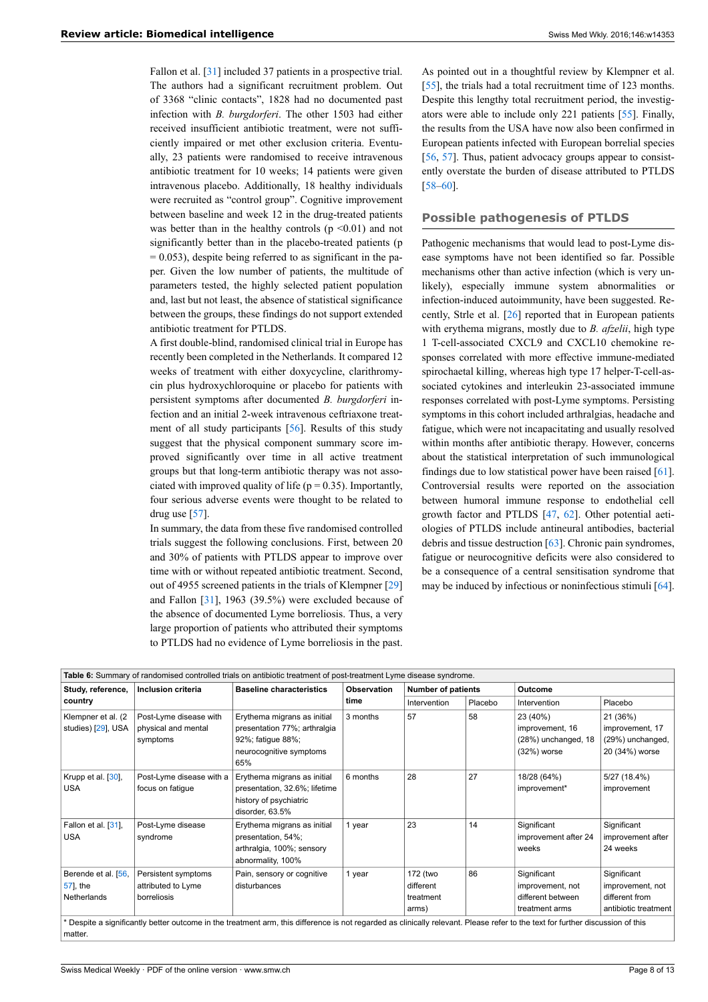Fallon et al. [[31\]](#page-11-0) included 37 patients in a prospective trial. The authors had a significant recruitment problem. Out of 3368 "clinic contacts", 1828 had no documented past infection with *B. burgdorferi*. The other 1503 had either received insufficient antibiotic treatment, were not sufficiently impaired or met other exclusion criteria. Eventually, 23 patients were randomised to receive intravenous antibiotic treatment for 10 weeks; 14 patients were given intravenous placebo. Additionally, 18 healthy individuals were recruited as "control group". Cognitive improvement between baseline and week 12 in the drug-treated patients was better than in the healthy controls  $(p \le 0.01)$  and not significantly better than in the placebo-treated patients (p  $= 0.053$ ), despite being referred to as significant in the paper. Given the low number of patients, the multitude of parameters tested, the highly selected patient population and, last but not least, the absence of statistical significance between the groups, these findings do not support extended antibiotic treatment for PTLDS.

A first double-blind, randomised clinical trial in Europe has recently been completed in the Netherlands. It compared 12 weeks of treatment with either doxycycline, clarithromycin plus hydroxychloroquine or placebo for patients with persistent symptoms after documented *B. burgdorferi* infection and an initial 2-week intravenous ceftriaxone treatment of all study participants [\[56](#page-11-26)]. Results of this study suggest that the physical component summary score improved significantly over time in all active treatment groups but that long-term antibiotic therapy was not associated with improved quality of life ( $p = 0.35$ ). Importantly, four serious adverse events were thought to be related to drug use  $[57]$  $[57]$ .

In summary, the data from these five randomised controlled trials suggest the following conclusions. First, between 20 and 30% of patients with PTLDS appear to improve over time with or without repeated antibiotic treatment. Second, out of 4955 screened patients in the trials of Klempner [\[29](#page-11-19)] and Fallon [\[31](#page-11-0)], 1963 (39.5%) were excluded because of the absence of documented Lyme borreliosis. Thus, a very large proportion of patients who attributed their symptoms to PTLDS had no evidence of Lyme borreliosis in the past.

As pointed out in a thoughtful review by Klempner et al. [[55\]](#page-11-23), the trials had a total recruitment time of 123 months. Despite this lengthy total recruitment period, the investigators were able to include only 221 patients [[55\]](#page-11-23). Finally, the results from the USA have now also been confirmed in European patients infected with European borrelial species [[56,](#page-11-26) [57\]](#page-11-24). Thus, patient advocacy groups appear to consistently overstate the burden of disease attributed to PTLDS [[58–](#page-11-27)[60](#page-11-28)].

### **Possible pathogenesis of PTLDS**

Pathogenic mechanisms that would lead to post-Lyme disease symptoms have not been identified so far. Possible mechanisms other than active infection (which is very unlikely), especially immune system abnormalities or infection-induced autoimmunity, have been suggested. Recently, Strle et al. [\[26](#page-10-10)] reported that in European patients with erythema migrans, mostly due to *B. afzelii*, high type 1 T-cell-associated CXCL9 and CXCL10 chemokine responses correlated with more effective immune-mediated spirochaetal killing, whereas high type 17 helper-T-cell-associated cytokines and interleukin 23-associated immune responses correlated with post-Lyme symptoms. Persisting symptoms in this cohort included arthralgias, headache and fatigue, which were not incapacitating and usually resolved within months after antibiotic therapy. However, concerns about the statistical interpretation of such immunological findings due to low statistical power have been raised [[61\]](#page-11-29). Controversial results were reported on the association between humoral immune response to endothelial cell growth factor and PTLDS [\[47](#page-11-15), [62\]](#page-11-30). Other potential aetiologies of PTLDS include antineural antibodies, bacterial debris and tissue destruction [[63\]](#page-11-31). Chronic pain syndromes, fatigue or neurocognitive deficits were also considered to be a consequence of a central sensitisation syndrome that may be induced by infectious or noninfectious stimuli [[64\]](#page-11-32).

| Table 6: Summary of randomised controlled trials on antibiotic treatment of post-treatment Lyme disease syndrome. |                                                           |                                                                                                                                                                                |                                                 |                                             |         |                                                                        |                                                                           |
|-------------------------------------------------------------------------------------------------------------------|-----------------------------------------------------------|--------------------------------------------------------------------------------------------------------------------------------------------------------------------------------|-------------------------------------------------|---------------------------------------------|---------|------------------------------------------------------------------------|---------------------------------------------------------------------------|
| Study, reference,                                                                                                 | Inclusion criteria                                        | <b>Baseline characteristics</b>                                                                                                                                                | <b>Observation</b><br><b>Number of patients</b> |                                             | Outcome |                                                                        |                                                                           |
| country                                                                                                           |                                                           |                                                                                                                                                                                | time                                            | Intervention                                | Placebo | Intervention                                                           | Placebo                                                                   |
| Klempner et al. (2)<br>studies) [29], USA                                                                         | Post-Lyme disease with<br>physical and mental<br>symptoms | Erythema migrans as initial<br>presentation 77%; arthralgia<br>92%; fatigue 88%;<br>neurocognitive symptoms<br>65%                                                             | 3 months                                        | 57                                          | 58      | 23 (40%)<br>improvement, 16<br>(28%) unchanged, 18<br>$(32%)$ worse    | 21 (36%)<br>improvement, 17<br>(29%) unchanged,<br>20 (34%) worse         |
| Krupp et al. [30],<br><b>USA</b>                                                                                  | Post-Lyme disease with a<br>focus on fatique              | Erythema migrans as initial<br>presentation, 32.6%; lifetime<br>history of psychiatric<br>disorder, 63.5%                                                                      | 6 months                                        | 28                                          | 27      | 18/28 (64%)<br>improvement*                                            | 5/27(18.4%)<br>improvement                                                |
| Fallon et al. [31],<br><b>USA</b>                                                                                 | Post-Lyme disease<br>syndrome                             | Erythema migrans as initial<br>presentation, 54%;<br>arthralgia, 100%; sensory<br>abnormality, 100%                                                                            | 1 year                                          | 23                                          | 14      | Significant<br>improvement after 24<br>weeks                           | Significant<br>improvement after<br>24 weeks                              |
| Berende et al. [56,<br>57], the<br>Netherlands                                                                    | Persistent symptoms<br>attributed to Lyme<br>borreliosis  | Pain, sensory or cognitive<br>disturbances                                                                                                                                     | 1 year                                          | 172 (two<br>different<br>treatment<br>arms) | 86      | Significant<br>improvement, not<br>different between<br>treatment arms | Significant<br>improvement, not<br>different from<br>antibiotic treatment |
| matter.                                                                                                           |                                                           | * Despite a significantly better outcome in the treatment arm, this difference is not regarded as clinically relevant. Please refer to the text for further discussion of this |                                                 |                                             |         |                                                                        |                                                                           |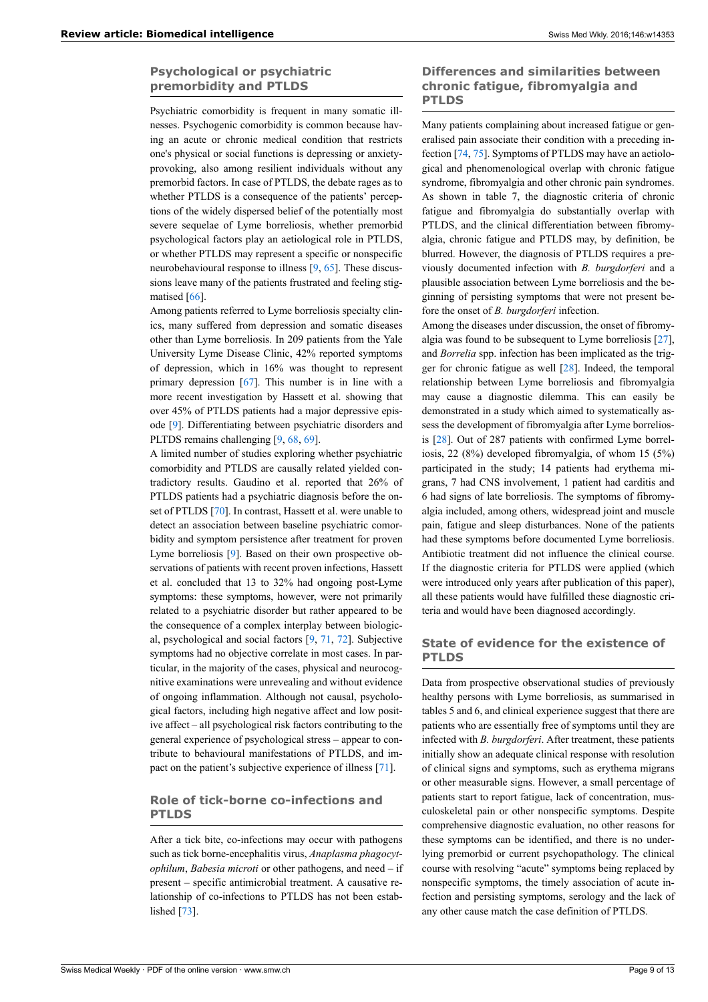# **Psychological or psychiatric premorbidity and PTLDS**

Psychiatric comorbidity is frequent in many somatic illnesses. Psychogenic comorbidity is common because having an acute or chronic medical condition that restricts one's physical or social functions is depressing or anxietyprovoking, also among resilient individuals without any premorbid factors. In case of PTLDS, the debate rages as to whether PTLDS is a consequence of the patients' perceptions of the widely dispersed belief of the potentially most severe sequelae of Lyme borreliosis, whether premorbid psychological factors play an aetiological role in PTLDS, or whether PTLDS may represent a specific or nonspecific neurobehavioural response to illness [\[9,](#page-10-1) [65](#page-11-33)]. These discussions leave many of the patients frustrated and feeling stigmatised [\[66](#page-11-34)].

Among patients referred to Lyme borreliosis specialty clinics, many suffered from depression and somatic diseases other than Lyme borreliosis. In 209 patients from the Yale University Lyme Disease Clinic, 42% reported symptoms of depression, which in 16% was thought to represent primary depression [\[67](#page-11-35)]. This number is in line with a more recent investigation by Hassett et al. showing that over 45% of PTLDS patients had a major depressive episode [[9](#page-10-1)]. Differentiating between psychiatric disorders and PLTDS remains challenging [[9](#page-10-1), [68,](#page-11-36) [69](#page-11-37)].

A limited number of studies exploring whether psychiatric comorbidity and PTLDS are causally related yielded contradictory results. Gaudino et al. reported that 26% of PTLDS patients had a psychiatric diagnosis before the onset of PTLDS [[70\]](#page-11-38). In contrast, Hassett et al. were unable to detect an association between baseline psychiatric comorbidity and symptom persistence after treatment for proven Lyme borreliosis [[9](#page-10-1)]. Based on their own prospective observations of patients with recent proven infections, Hassett et al. concluded that 13 to 32% had ongoing post-Lyme symptoms: these symptoms, however, were not primarily related to a psychiatric disorder but rather appeared to be the consequence of a complex interplay between biological, psychological and social factors [[9](#page-10-1), [71](#page-11-39), [72](#page-11-40)]. Subjective symptoms had no objective correlate in most cases. In particular, in the majority of the cases, physical and neurocognitive examinations were unrevealing and without evidence of ongoing inflammation. Although not causal, psychological factors, including high negative affect and low positive affect – all psychological risk factors contributing to the general experience of psychological stress – appear to contribute to behavioural manifestations of PTLDS, and impact on the patient's subjective experience of illness [\[71](#page-11-39)].

# **Role of tick-borne co-infections and PTLDS**

After a tick bite, co-infections may occur with pathogens such as tick borne-encephalitis virus, *Anaplasma phagocytophilum*, *Babesia microti* or other pathogens, and need – if present – specific antimicrobial treatment. A causative relationship of co-infections to PTLDS has not been estab-lished [[73\]](#page-11-41).

# **Differences and similarities between chronic fatigue, fibromyalgia and PTLDS**

Many patients complaining about increased fatigue or generalised pain associate their condition with a preceding infection [\[74](#page-12-13), [75\]](#page-12-14). Symptoms of PTLDS may have an aetiological and phenomenological overlap with chronic fatigue syndrome, fibromyalgia and other chronic pain syndromes. As shown in table 7, the diagnostic criteria of chronic fatigue and fibromyalgia do substantially overlap with PTLDS, and the clinical differentiation between fibromyalgia, chronic fatigue and PTLDS may, by definition, be blurred. However, the diagnosis of PTLDS requires a previously documented infection with *B. burgdorferi* and a plausible association between Lyme borreliosis and the beginning of persisting symptoms that were not present before the onset of *B. burgdorferi* infection.

Among the diseases under discussion, the onset of fibromyalgia was found to be subsequent to Lyme borreliosis [[27\]](#page-10-13), and *Borrelia* spp. infection has been implicated as the trigger for chronic fatigue as well [\[28](#page-10-19)]. Indeed, the temporal relationship between Lyme borreliosis and fibromyalgia may cause a diagnostic dilemma. This can easily be demonstrated in a study which aimed to systematically assess the development of fibromyalgia after Lyme borreliosis [[28\]](#page-10-19). Out of 287 patients with confirmed Lyme borreliosis, 22 (8%) developed fibromyalgia, of whom 15 (5%) participated in the study; 14 patients had erythema migrans, 7 had CNS involvement, 1 patient had carditis and 6 had signs of late borreliosis. The symptoms of fibromyalgia included, among others, widespread joint and muscle pain, fatigue and sleep disturbances. None of the patients had these symptoms before documented Lyme borreliosis. Antibiotic treatment did not influence the clinical course. If the diagnostic criteria for PTLDS were applied (which were introduced only years after publication of this paper), all these patients would have fulfilled these diagnostic criteria and would have been diagnosed accordingly.

# **State of evidence for the existence of PTLDS**

Data from prospective observational studies of previously healthy persons with Lyme borreliosis, as summarised in tables 5 and 6, and clinical experience suggest that there are patients who are essentially free of symptoms until they are infected with *B. burgdorferi*. After treatment, these patients initially show an adequate clinical response with resolution of clinical signs and symptoms, such as erythema migrans or other measurable signs. However, a small percentage of patients start to report fatigue, lack of concentration, musculoskeletal pain or other nonspecific symptoms. Despite comprehensive diagnostic evaluation, no other reasons for these symptoms can be identified, and there is no underlying premorbid or current psychopathology. The clinical course with resolving "acute" symptoms being replaced by nonspecific symptoms, the timely association of acute infection and persisting symptoms, serology and the lack of any other cause match the case definition of PTLDS.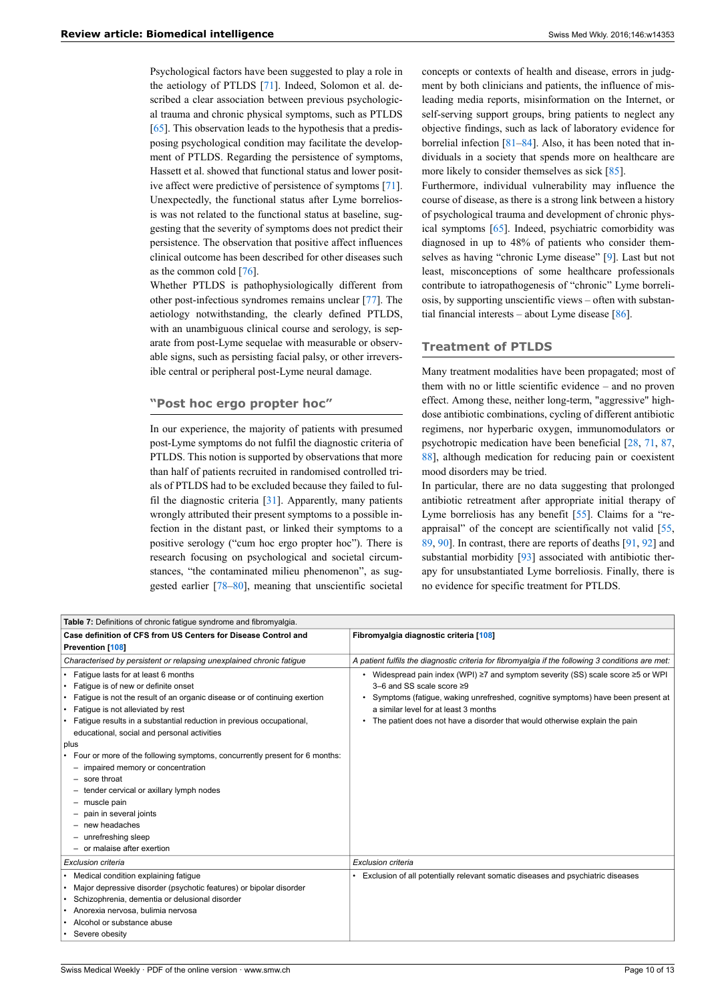Psychological factors have been suggested to play a role in the aetiology of PTLDS [[71\]](#page-11-39). Indeed, Solomon et al. described a clear association between previous psychological trauma and chronic physical symptoms, such as PTLDS [\[65](#page-11-33)]. This observation leads to the hypothesis that a predisposing psychological condition may facilitate the development of PTLDS. Regarding the persistence of symptoms, Hassett et al. showed that functional status and lower positive affect were predictive of persistence of symptoms [\[71](#page-11-39)]. Unexpectedly, the functional status after Lyme borreliosis was not related to the functional status at baseline, suggesting that the severity of symptoms does not predict their persistence. The observation that positive affect influences clinical outcome has been described for other diseases such as the common cold [[76\]](#page-12-15).

Whether PTLDS is pathophysiologically different from other post-infectious syndromes remains unclear [[77\]](#page-12-16). The aetiology notwithstanding, the clearly defined PTLDS, with an unambiguous clinical course and serology, is separate from post-Lyme sequelae with measurable or observable signs, such as persisting facial palsy, or other irreversible central or peripheral post-Lyme neural damage.

#### **"Post hoc ergo propter hoc"**

In our experience, the majority of patients with presumed post-Lyme symptoms do not fulfil the diagnostic criteria of PTLDS. This notion is supported by observations that more than half of patients recruited in randomised controlled trials of PTLDS had to be excluded because they failed to fulfil the diagnostic criteria [[31\]](#page-11-0). Apparently, many patients wrongly attributed their present symptoms to a possible infection in the distant past, or linked their symptoms to a positive serology ("cum hoc ergo propter hoc"). There is research focusing on psychological and societal circumstances, "the contaminated milieu phenomenon", as suggested earlier [\[78](#page-12-2)–[80\]](#page-12-17), meaning that unscientific societal

concepts or contexts of health and disease, errors in judgment by both clinicians and patients, the influence of misleading media reports, misinformation on the Internet, or self-serving support groups, bring patients to neglect any objective findings, such as lack of laboratory evidence for borrelial infection [\[81](#page-12-5)–[84\]](#page-12-18). Also, it has been noted that individuals in a society that spends more on healthcare are more likely to consider themselves as sick [[85\]](#page-12-19).

Furthermore, individual vulnerability may influence the course of disease, as there is a strong link between a history of psychological trauma and development of chronic physical symptoms [[65\]](#page-11-33). Indeed, psychiatric comorbidity was diagnosed in up to 48% of patients who consider themselves as having "chronic Lyme disease" [\[9\]](#page-10-1). Last but not least, misconceptions of some healthcare professionals contribute to iatropathogenesis of "chronic" Lyme borreliosis, by supporting unscientific views – often with substantial financial interests – about Lyme disease  $[86]$  $[86]$ .

#### **Treatment of PTLDS**

Many treatment modalities have been propagated; most of them with no or little scientific evidence – and no proven effect. Among these, neither long-term, "aggressive" highdose antibiotic combinations, cycling of different antibiotic regimens, nor hyperbaric oxygen, immunomodulators or psychotropic medication have been beneficial [[28,](#page-10-19) [71,](#page-11-39) [87,](#page-12-21) [88\]](#page-12-22), although medication for reducing pain or coexistent mood disorders may be tried.

In particular, there are no data suggesting that prolonged antibiotic retreatment after appropriate initial therapy of Lyme borreliosis has any benefit [\[55](#page-11-23)]. Claims for a "reappraisal" of the concept are scientifically not valid [[55,](#page-11-23) [89,](#page-12-23) [90](#page-12-24)]. In contrast, there are reports of deaths [\[91](#page-12-25), [92\]](#page-12-26) and substantial morbidity [\[93](#page-12-13)] associated with antibiotic therapy for unsubstantiated Lyme borreliosis. Finally, there is no evidence for specific treatment for PTLDS.

| Table 7: Definitions of chronic fatigue syndrome and fibromyalgia.                                                                                                                                                                                                                                                                                                                                                                                                                                                                                                                                                                                     |                                                                                                                                                                                                                                                                                                                                             |
|--------------------------------------------------------------------------------------------------------------------------------------------------------------------------------------------------------------------------------------------------------------------------------------------------------------------------------------------------------------------------------------------------------------------------------------------------------------------------------------------------------------------------------------------------------------------------------------------------------------------------------------------------------|---------------------------------------------------------------------------------------------------------------------------------------------------------------------------------------------------------------------------------------------------------------------------------------------------------------------------------------------|
| Case definition of CFS from US Centers for Disease Control and<br><b>Prevention [108]</b>                                                                                                                                                                                                                                                                                                                                                                                                                                                                                                                                                              | Fibromyalgia diagnostic criteria [108]                                                                                                                                                                                                                                                                                                      |
| Characterised by persistent or relapsing unexplained chronic fatigue                                                                                                                                                                                                                                                                                                                                                                                                                                                                                                                                                                                   | A patient fulfils the diagnostic criteria for fibromyalgia if the following 3 conditions are met:                                                                                                                                                                                                                                           |
| Fatique lasts for at least 6 months<br>• Fatique is of new or definite onset<br>Fatigue is not the result of an organic disease or of continuing exertion<br>٠<br>• Fatique is not alleviated by rest<br>• Fatigue results in a substantial reduction in previous occupational,<br>educational, social and personal activities<br>plus<br>Four or more of the following symptoms, concurrently present for 6 months:<br>٠<br>- impaired memory or concentration<br>- sore throat<br>- tender cervical or axillary lymph nodes<br>- muscle pain<br>- pain in several joints<br>$-$ new headaches<br>- unrefreshing sleep<br>- or malaise after exertion | • Widespread pain index (WPI) $\geq 7$ and symptom severity (SS) scale score $\geq 5$ or WPI<br>$3-6$ and SS scale score $\geq 9$<br>Symptoms (fatigue, waking unrefreshed, cognitive symptoms) have been present at<br>a similar level for at least 3 months<br>The patient does not have a disorder that would otherwise explain the pain |
| Exclusion criteria                                                                                                                                                                                                                                                                                                                                                                                                                                                                                                                                                                                                                                     | Exclusion criteria                                                                                                                                                                                                                                                                                                                          |
| • Medical condition explaining fatigue<br>Major depressive disorder (psychotic features) or bipolar disorder<br>Schizophrenia, dementia or delusional disorder<br>· Anorexia nervosa, bulimia nervosa<br>Alcohol or substance abuse<br>٠<br>• Severe obesity                                                                                                                                                                                                                                                                                                                                                                                           | Exclusion of all potentially relevant somatic diseases and psychiatric diseases                                                                                                                                                                                                                                                             |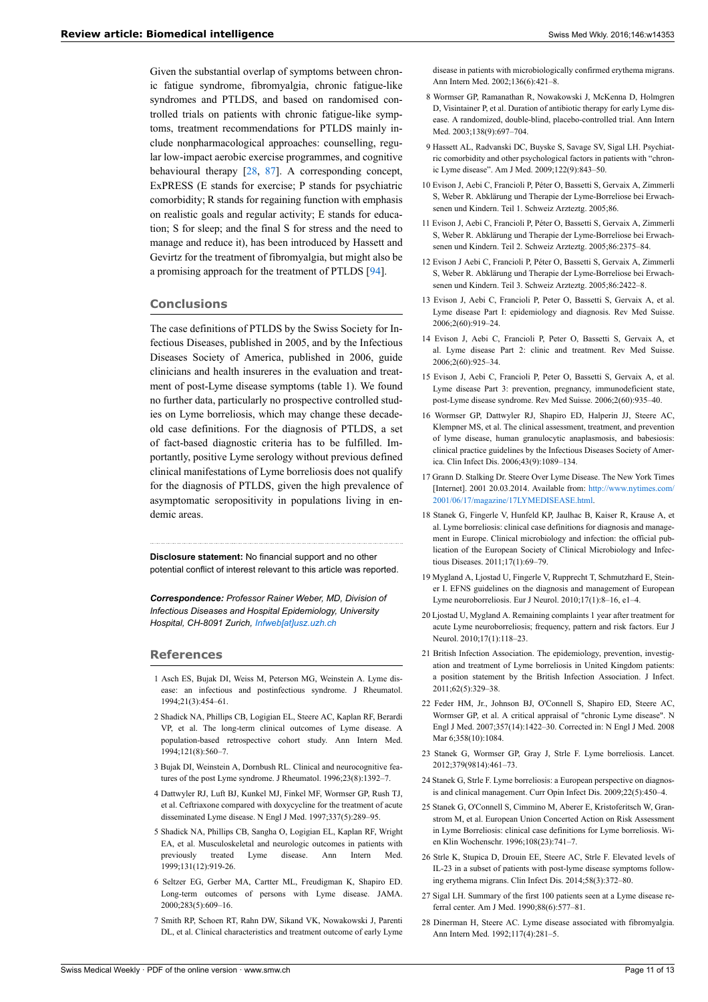<span id="page-10-14"></span><span id="page-10-2"></span><span id="page-10-1"></span>Given the substantial overlap of symptoms between chronic fatigue syndrome, fibromyalgia, chronic fatigue-like syndromes and PTLDS, and based on randomised controlled trials on patients with chronic fatigue-like symptoms, treatment recommendations for PTLDS mainly include nonpharmacological approaches: counselling, regular low-impact aerobic exercise programmes, and cognitive behavioural therapy [\[28](#page-10-19), [87\]](#page-12-21). A corresponding concept, ExPRESS (E stands for exercise; P stands for psychiatric comorbidity; R stands for regaining function with emphasis on realistic goals and regular activity; E stands for education; S for sleep; and the final S for stress and the need to manage and reduce it), has been introduced by Hassett and Gevirtz for the treatment of fibromyalgia, but might also be a promising approach for the treatment of PTLDS [[94\]](#page-12-14).

#### **Conclusions**

<span id="page-10-4"></span><span id="page-10-3"></span>The case definitions of PTLDS by the Swiss Society for Infectious Diseases, published in 2005, and by the Infectious Diseases Society of America, published in 2006, guide clinicians and health insureres in the evaluation and treatment of post-Lyme disease symptoms (table 1). We found no further data, particularly no prospective controlled studies on Lyme borreliosis, which may change these decadeold case definitions. For the diagnosis of PTLDS, a set of fact-based diagnostic criteria has to be fulfilled. Importantly, positive Lyme serology without previous defined clinical manifestations of Lyme borreliosis does not qualify for the diagnosis of PTLDS, given the high prevalence of asymptomatic seropositivity in populations living in endemic areas.

<span id="page-10-11"></span><span id="page-10-6"></span><span id="page-10-5"></span>**Disclosure statement:** No financial support and no other potential conflict of interest relevant to this article was reported.

*Correspondence: Professor Rainer Weber, MD, Division of Infectious Diseases and Hospital Epidemiology, University Hospital, CH-8091 Zurich, [Infweb\[at\]usz.uzh.ch](mailto:Infweb@usz.uzh.ch)*

#### <span id="page-10-12"></span><span id="page-10-0"></span>**References**

- 1 Asch ES, Bujak DI, Weiss M, Peterson MG, Weinstein A. Lyme disease: an infectious and postinfectious syndrome. J Rheumatol. 1994;21(3):454–61.
- <span id="page-10-15"></span><span id="page-10-7"></span>2 Shadick NA, Phillips CB, Logigian EL, Steere AC, Kaplan RF, Berardi VP, et al. The long-term clinical outcomes of Lyme disease. A population-based retrospective cohort study. Ann Intern Med. 1994;121(8):560–7.
- <span id="page-10-8"></span>3 Bujak DI, Weinstein A, Dornbush RL. Clinical and neurocognitive features of the post Lyme syndrome. J Rheumatol. 1996;23(8):1392–7.
- <span id="page-10-16"></span>4 Dattwyler RJ, Luft BJ, Kunkel MJ, Finkel MF, Wormser GP, Rush TJ, et al. Ceftriaxone compared with doxycycline for the treatment of acute disseminated Lyme disease. N Engl J Med. 1997;337(5):289–95.
- <span id="page-10-10"></span><span id="page-10-9"></span>5 Shadick NA, Phillips CB, Sangha O, Logigian EL, Kaplan RF, Wright EA, et al. Musculoskeletal and neurologic outcomes in patients with previously treated Lyme disease. Ann Intern Med. 1999;131(12):919-26.
- <span id="page-10-18"></span><span id="page-10-13"></span>6 Seltzer EG, Gerber MA, Cartter ML, Freudigman K, Shapiro ED. Long-term outcomes of persons with Lyme disease. JAMA. 2000;283(5):609–16.
- <span id="page-10-19"></span><span id="page-10-17"></span>7 Smith RP, Schoen RT, Rahn DW, Sikand VK, Nowakowski J, Parenti DL, et al. Clinical characteristics and treatment outcome of early Lyme

disease in patients with microbiologically confirmed erythema migrans. Ann Intern Med. 2002;136(6):421–8.

- 8 Wormser GP, Ramanathan R, Nowakowski J, McKenna D, Holmgren D, Visintainer P, et al. Duration of antibiotic therapy for early Lyme disease. A randomized, double-blind, placebo-controlled trial. Ann Intern Med. 2003;138(9):697-704.
- 9 Hassett AL, Radvanski DC, Buyske S, Savage SV, Sigal LH. Psychiatric comorbidity and other psychological factors in patients with "chronic Lyme disease". Am J Med. 2009;122(9):843–50.
- 10 Evison J, Aebi C, Francioli P, Péter O, Bassetti S, Gervaix A, Zimmerli S, Weber R. Abklärung und Therapie der Lyme-Borreliose bei Erwachsenen und Kindern. Teil 1. Schweiz Arzteztg. 2005;86.
- 11 Evison J, Aebi C, Francioli P, Péter O, Bassetti S, Gervaix A, Zimmerli S, Weber R. Abklärung und Therapie der Lyme-Borreliose bei Erwachsenen und Kindern. Teil 2. Schweiz Arzteztg. 2005;86:2375–84.
- 12 Evison J Aebi C, Francioli P, Péter O, Bassetti S, Gervaix A, Zimmerli S, Weber R. Abklärung und Therapie der Lyme-Borreliose bei Erwachsenen und Kindern. Teil 3. Schweiz Arzteztg. 2005;86:2422–8.
- 13 Evison J, Aebi C, Francioli P, Peter O, Bassetti S, Gervaix A, et al. Lyme disease Part I: epidemiology and diagnosis. Rev Med Suisse. 2006;2(60):919–24.
- 14 Evison J, Aebi C, Francioli P, Peter O, Bassetti S, Gervaix A, et al. Lyme disease Part 2: clinic and treatment. Rev Med Suisse. 2006;2(60):925–34.
- 15 Evison J, Aebi C, Francioli P, Peter O, Bassetti S, Gervaix A, et al. Lyme disease Part 3: prevention, pregnancy, immunodeficient state, post-Lyme disease syndrome. Rev Med Suisse. 2006;2(60):935–40.
- 16 Wormser GP, Dattwyler RJ, Shapiro ED, Halperin JJ, Steere AC, Klempner MS, et al. The clinical assessment, treatment, and prevention of lyme disease, human granulocytic anaplasmosis, and babesiosis: clinical practice guidelines by the Infectious Diseases Society of America. Clin Infect Dis. 2006;43(9):1089–134.
- 17 Grann D. Stalking Dr. Steere Over Lyme Disease. The New York Times [Internet]. 2001 20.03.2014. Available from: [http://www.nytimes.com/](http://www.nytimes.com/2001/06/17/magazine/17LYMEDISEASE.html) [2001/06/17/magazine/17LYMEDISEASE.html](http://www.nytimes.com/2001/06/17/magazine/17LYMEDISEASE.html).
- 18 Stanek G, Fingerle V, Hunfeld KP, Jaulhac B, Kaiser R, Krause A, et al. Lyme borreliosis: clinical case definitions for diagnosis and management in Europe. Clinical microbiology and infection: the official publication of the European Society of Clinical Microbiology and Infectious Diseases. 2011;17(1):69–79.
- 19 Mygland A, Ljostad U, Fingerle V, Rupprecht T, Schmutzhard E, Steiner I. EFNS guidelines on the diagnosis and management of European Lyme neuroborreliosis. Eur J Neurol. 2010;17(1):8–16, e1–4.
- 20 Ljostad U, Mygland A. Remaining complaints 1 year after treatment for acute Lyme neuroborreliosis; frequency, pattern and risk factors. Eur J Neurol. 2010;17(1):118–23.
- 21 British Infection Association. The epidemiology, prevention, investigation and treatment of Lyme borreliosis in United Kingdom patients: a position statement by the British Infection Association. J Infect. 2011;62(5):329–38.
- 22 Feder HM, Jr., Johnson BJ, O'Connell S, Shapiro ED, Steere AC, Wormser GP, et al. A critical appraisal of "chronic Lyme disease". N Engl J Med. 2007;357(14):1422–30. Corrected in: N Engl J Med. 2008 Mar 6:358(10):1084
- 23 Stanek G, Wormser GP, Gray J, Strle F. Lyme borreliosis. Lancet. 2012;379(9814):461–73.
- 24 Stanek G, Strle F. Lyme borreliosis: a European perspective on diagnosis and clinical management. Curr Opin Infect Dis. 2009;22(5):450–4.
- 25 Stanek G, O'Connell S, Cimmino M, Aberer E, Kristoferitsch W, Granstrom M, et al. European Union Concerted Action on Risk Assessment in Lyme Borreliosis: clinical case definitions for Lyme borreliosis. Wien Klin Wochenschr. 1996;108(23):741–7.
- 26 Strle K, Stupica D, Drouin EE, Steere AC, Strle F. Elevated levels of IL-23 in a subset of patients with post-lyme disease symptoms following erythema migrans. Clin Infect Dis. 2014;58(3):372–80.
- 27 Sigal LH. Summary of the first 100 patients seen at a Lyme disease referral center. Am J Med. 1990;88(6):577–81.
- 28 Dinerman H, Steere AC. Lyme disease associated with fibromyalgia. Ann Intern Med. 1992;117(4):281–5.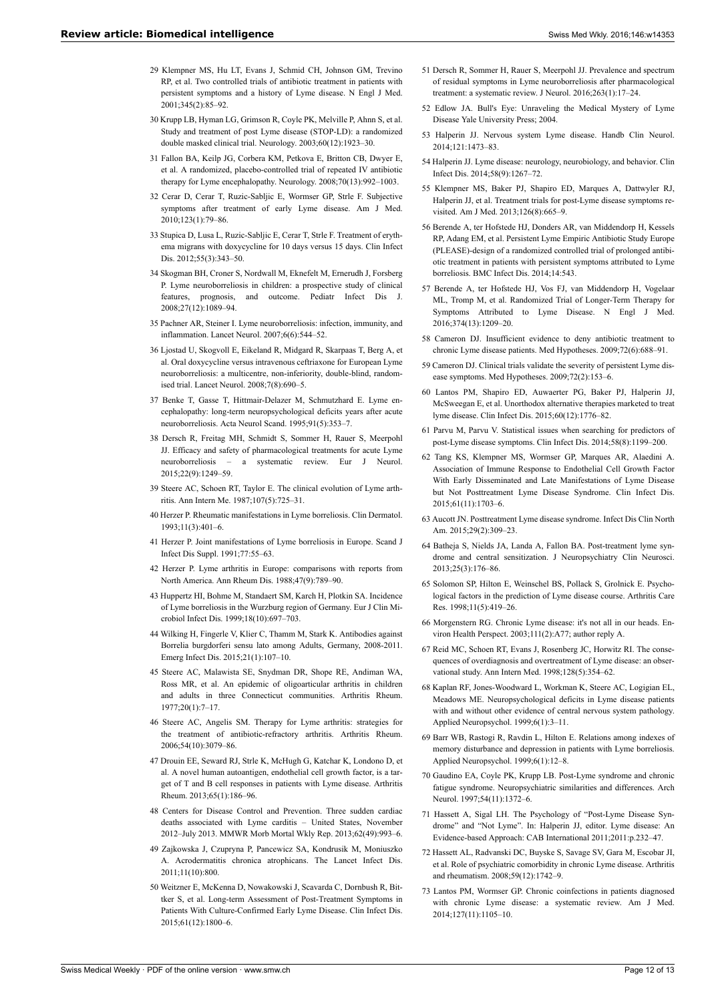- <span id="page-11-19"></span>29 Klempner MS, Hu LT, Evans J, Schmid CH, Johnson GM, Trevino RP, et al. Two controlled trials of antibiotic treatment in patients with persistent symptoms and a history of Lyme disease. N Engl J Med. 2001;345(2):85–92.
- <span id="page-11-25"></span><span id="page-11-21"></span><span id="page-11-20"></span>30 Krupp LB, Hyman LG, Grimson R, Coyle PK, Melville P, Ahnn S, et al. Study and treatment of post Lyme disease (STOP-LD): a randomized double masked clinical trial. Neurology. 2003;60(12):1923–30.
- <span id="page-11-22"></span><span id="page-11-0"></span>31 Fallon BA, Keilp JG, Corbera KM, Petkova E, Britton CB, Dwyer E, et al. A randomized, placebo-controlled trial of repeated IV antibiotic therapy for Lyme encephalopathy. Neurology. 2008;70(13):992–1003.
- <span id="page-11-23"></span><span id="page-11-1"></span>32 Cerar D, Cerar T, Ruzic-Sabljic E, Wormser GP, Strle F. Subjective symptoms after treatment of early Lyme disease. Am J Med. 2010;123(1):79–86.
- <span id="page-11-26"></span><span id="page-11-3"></span>33 Stupica D, Lusa L, Ruzic-Sabljic E, Cerar T, Strle F. Treatment of erythema migrans with doxycycline for 10 days versus 15 days. Clin Infect Dis. 2012;55(3):343–50.
- <span id="page-11-24"></span><span id="page-11-2"></span>34 Skogman BH, Croner S, Nordwall M, Eknefelt M, Ernerudh J, Forsberg P. Lyme neuroborreliosis in children: a prospective study of clinical features, prognosis, and outcome. Pediatr Infect Dis J. 2008;27(12):1089–94.
- <span id="page-11-27"></span><span id="page-11-4"></span>35 Pachner AR, Steiner I. Lyme neuroborreliosis: infection, immunity, and inflammation. Lancet Neurol. 2007;6(6):544–52.
- <span id="page-11-5"></span>36 Ljostad U, Skogvoll E, Eikeland R, Midgard R, Skarpaas T, Berg A, et al. Oral doxycycline versus intravenous ceftriaxone for European Lyme neuroborreliosis: a multicentre, non-inferiority, double-blind, randomised trial. Lancet Neurol. 2008;7(8):690–5.
- <span id="page-11-28"></span><span id="page-11-6"></span>37 Benke T, Gasse T, Hittmair-Delazer M, Schmutzhard E. Lyme encephalopathy: long-term neuropsychological deficits years after acute neuroborreliosis. Acta Neurol Scand. 1995;91(5):353–7.
- <span id="page-11-30"></span><span id="page-11-29"></span><span id="page-11-7"></span>38 Dersch R, Freitag MH, Schmidt S, Sommer H, Rauer S, Meerpohl JJ. Efficacy and safety of pharmacological treatments for acute Lyme neuroborreliosis – a systematic review. Eur J Neurol. 2015;22(9):1249–59.
- <span id="page-11-8"></span>39 Steere AC, Schoen RT, Taylor E. The clinical evolution of Lyme arthritis. Ann Intern Me. 1987;107(5):725–31.
- <span id="page-11-31"></span><span id="page-11-9"></span>40 Herzer P. Rheumatic manifestations in Lyme borreliosis. Clin Dermatol. 1993;11(3):401–6.
- <span id="page-11-32"></span>41 Herzer P. Joint manifestations of Lyme borreliosis in Europe. Scand J Infect Dis Suppl. 1991;77:55–63.
- <span id="page-11-10"></span>42 Herzer P. Lyme arthritis in Europe: comparisons with reports from North America. Ann Rheum Dis. 1988;47(9):789–90.
- <span id="page-11-33"></span><span id="page-11-11"></span>43 Huppertz HI, Bohme M, Standaert SM, Karch H, Plotkin SA. Incidence of Lyme borreliosis in the Wurzburg region of Germany. Eur J Clin Microbiol Infect Dis. 1999;18(10):697–703.
- <span id="page-11-35"></span><span id="page-11-34"></span><span id="page-11-12"></span>44 Wilking H, Fingerle V, Klier C, Thamm M, Stark K. Antibodies against Borrelia burgdorferi sensu lato among Adults, Germany, 2008-2011. Emerg Infect Dis. 2015;21(1):107–10.
- <span id="page-11-36"></span><span id="page-11-13"></span>45 Steere AC, Malawista SE, Snydman DR, Shope RE, Andiman WA, Ross MR, et al. An epidemic of oligoarticular arthritis in children and adults in three Connecticut communities. Arthritis Rheum. 1977;20(1):7–17.
- <span id="page-11-37"></span><span id="page-11-14"></span>46 Steere AC, Angelis SM. Therapy for Lyme arthritis: strategies for the treatment of antibiotic-refractory arthritis. Arthritis Rheum. 2006;54(10):3079–86.
- <span id="page-11-38"></span><span id="page-11-15"></span>47 Drouin EE, Seward RJ, Strle K, McHugh G, Katchar K, Londono D, et al. A novel human autoantigen, endothelial cell growth factor, is a target of T and B cell responses in patients with Lyme disease. Arthritis Rheum. 2013;65(1):186–96.
- <span id="page-11-39"></span><span id="page-11-16"></span>48 Centers for Disease Control and Prevention. Three sudden cardiac deaths associated with Lyme carditis – United States, November 2012–July 2013. MMWR Morb Mortal Wkly Rep. 2013;62(49):993–6.
- <span id="page-11-40"></span><span id="page-11-17"></span>49 Zajkowska J, Czupryna P, Pancewicz SA, Kondrusik M, Moniuszko A. Acrodermatitis chronica atrophicans. The Lancet Infect Dis. 2011;11(10):800.
- <span id="page-11-41"></span><span id="page-11-18"></span>50 Weitzner E, McKenna D, Nowakowski J, Scavarda C, Dornbush R, Bittker S, et al. Long-term Assessment of Post-Treatment Symptoms in Patients With Culture-Confirmed Early Lyme Disease. Clin Infect Dis. 2015;61(12):1800–6.
- 51 Dersch R, Sommer H, Rauer S, Meerpohl JJ. Prevalence and spectrum of residual symptoms in Lyme neuroborreliosis after pharmacological treatment: a systematic review. J Neurol. 2016;263(1):17–24.
- 52 Edlow JA. Bull's Eye: Unraveling the Medical Mystery of Lyme Disease Yale University Press; 2004.
- 53 Halperin JJ. Nervous system Lyme disease. Handb Clin Neurol. 2014;121:1473–83.
- 54 Halperin JJ. Lyme disease: neurology, neurobiology, and behavior. Clin Infect Dis. 2014;58(9):1267–72.
- 55 Klempner MS, Baker PJ, Shapiro ED, Marques A, Dattwyler RJ, Halperin JJ, et al. Treatment trials for post-Lyme disease symptoms revisited. Am J Med. 2013;126(8):665–9.
- 56 Berende A, ter Hofstede HJ, Donders AR, van Middendorp H, Kessels RP, Adang EM, et al. Persistent Lyme Empiric Antibiotic Study Europe (PLEASE)-design of a randomized controlled trial of prolonged antibiotic treatment in patients with persistent symptoms attributed to Lyme borreliosis. BMC Infect Dis. 2014;14:543.
- 57 Berende A, ter Hofstede HJ, Vos FJ, van Middendorp H, Vogelaar ML, Tromp M, et al. Randomized Trial of Longer-Term Therapy for Symptoms Attributed to Lyme Disease. N Engl J Med. 2016;374(13):1209–20.
- 58 Cameron DJ. Insufficient evidence to deny antibiotic treatment to chronic Lyme disease patients. Med Hypotheses. 2009;72(6):688–91.
- 59 Cameron DJ. Clinical trials validate the severity of persistent Lyme disease symptoms. Med Hypotheses. 2009;72(2):153–6.
- 60 Lantos PM, Shapiro ED, Auwaerter PG, Baker PJ, Halperin JJ, McSweegan E, et al. Unorthodox alternative therapies marketed to treat lyme disease. Clin Infect Dis. 2015;60(12):1776–82.
- 61 Parvu M, Parvu V. Statistical issues when searching for predictors of post-Lyme disease symptoms. Clin Infect Dis. 2014;58(8):1199–200.
- 62 Tang KS, Klempner MS, Wormser GP, Marques AR, Alaedini A. Association of Immune Response to Endothelial Cell Growth Factor With Early Disseminated and Late Manifestations of Lyme Disease but Not Posttreatment Lyme Disease Syndrome. Clin Infect Dis. 2015;61(11):1703–6.
- 63 Aucott JN. Posttreatment Lyme disease syndrome. Infect Dis Clin North Am. 2015;29(2):309–23.
- 64 Batheja S, Nields JA, Landa A, Fallon BA. Post-treatment lyme syndrome and central sensitization. J Neuropsychiatry Clin Neurosci. 2013;25(3):176–86.
- 65 Solomon SP, Hilton E, Weinschel BS, Pollack S, Grolnick E. Psychological factors in the prediction of Lyme disease course. Arthritis Care Res. 1998;11(5):419–26.
- 66 Morgenstern RG. Chronic Lyme disease: it's not all in our heads. Environ Health Perspect. 2003;111(2):A77; author reply A.
- 67 Reid MC, Schoen RT, Evans J, Rosenberg JC, Horwitz RI. The consequences of overdiagnosis and overtreatment of Lyme disease: an observational study. Ann Intern Med. 1998;128(5):354–62.
- 68 Kaplan RF, Jones-Woodward L, Workman K, Steere AC, Logigian EL, Meadows ME. Neuropsychological deficits in Lyme disease patients with and without other evidence of central nervous system pathology. Applied Neuropsychol. 1999;6(1):3–11.
- 69 Barr WB, Rastogi R, Ravdin L, Hilton E. Relations among indexes of memory disturbance and depression in patients with Lyme borreliosis. Applied Neuropsychol. 1999;6(1):12–8.
- 70 Gaudino EA, Coyle PK, Krupp LB. Post-Lyme syndrome and chronic fatigue syndrome. Neuropsychiatric similarities and differences. Arch Neurol. 1997;54(11):1372–6.
- 71 Hassett A, Sigal LH. The Psychology of "Post-Lyme Disease Syndrome" and "Not Lyme". In: Halperin JJ, editor. Lyme disease: An Evidence-based Approach: CAB International 2011;2011:p.232–47.
- 72 Hassett AL, Radvanski DC, Buyske S, Savage SV, Gara M, Escobar JI, et al. Role of psychiatric comorbidity in chronic Lyme disease. Arthritis and rheumatism. 2008;59(12):1742–9.
- 73 Lantos PM, Wormser GP. Chronic coinfections in patients diagnosed with chronic Lyme disease: a systematic review. Am J Med. 2014;127(11):1105–10.